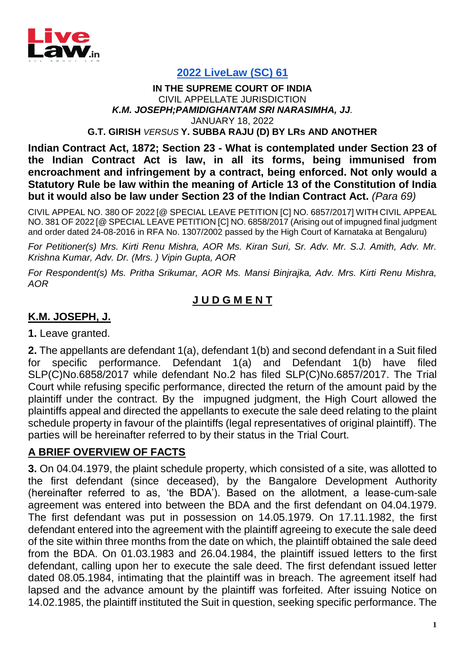

### **[2022 LiveLaw \(SC\) 61](https://www.livelaw.in/top-stories/supreme-court-section-23-contract-act-law-subordinate-legislation-rules-189791)**

#### **IN THE SUPREME COURT OF INDIA** CIVIL APPELLATE JURISDICTION *K.M. JOSEPH;PAMIDIGHANTAM SRI NARASIMHA, JJ.* JANUARY 18, 2022 **G.T. GIRISH** *VERSUS* **Y. SUBBA RAJU (D) BY LRs AND ANOTHER**

**Indian Contract Act, 1872; Section 23 - What is contemplated under Section 23 of the Indian Contract Act is law, in all its forms, being immunised from encroachment and infringement by a contract, being enforced. Not only would a Statutory Rule be law within the meaning of Article 13 of the Constitution of India but it would also be law under Section 23 of the Indian Contract Act.** *(Para 69)*

CIVIL APPEAL NO. 380 OF 2022 [@ SPECIAL LEAVE PETITION [C] NO. 6857/2017] WITH CIVIL APPEAL NO. 381 OF 2022 [@ SPECIAL LEAVE PETITION [C] NO. 6858/2017 (Arising out of impugned final judgment and order dated 24-08-2016 in RFA No. 1307/2002 passed by the High Court of Karnataka at Bengaluru)

*For Petitioner(s) Mrs. Kirti Renu Mishra, AOR Ms. Kiran Suri, Sr. Adv. Mr. S.J. Amith, Adv. Mr. Krishna Kumar, Adv. Dr. (Mrs. ) Vipin Gupta, AOR* 

*For Respondent(s) Ms. Pritha Srikumar, AOR Ms. Mansi Binjrajka, Adv. Mrs. Kirti Renu Mishra, AOR*

### **J U D G M E N T**

### **K.M. JOSEPH, J.**

**1.** Leave granted.

**2.** The appellants are defendant 1(a), defendant 1(b) and second defendant in a Suit filed for specific performance. Defendant 1(a) and Defendant 1(b) have filed SLP(C)No.6858/2017 while defendant No.2 has filed SLP(C)No.6857/2017. The Trial Court while refusing specific performance, directed the return of the amount paid by the plaintiff under the contract. By the impugned judgment, the High Court allowed the plaintiffs appeal and directed the appellants to execute the sale deed relating to the plaint schedule property in favour of the plaintiffs (legal representatives of original plaintiff). The parties will be hereinafter referred to by their status in the Trial Court.

### **A BRIEF OVERVIEW OF FACTS**

**3.** On 04.04.1979, the plaint schedule property, which consisted of a site, was allotted to the first defendant (since deceased), by the Bangalore Development Authority (hereinafter referred to as, 'the BDA'). Based on the allotment, a lease-cum-sale agreement was entered into between the BDA and the first defendant on 04.04.1979. The first defendant was put in possession on 14.05.1979. On 17.11.1982, the first defendant entered into the agreement with the plaintiff agreeing to execute the sale deed of the site within three months from the date on which, the plaintiff obtained the sale deed from the BDA. On 01.03.1983 and 26.04.1984, the plaintiff issued letters to the first defendant, calling upon her to execute the sale deed. The first defendant issued letter dated 08.05.1984, intimating that the plaintiff was in breach. The agreement itself had lapsed and the advance amount by the plaintiff was forfeited. After issuing Notice on 14.02.1985, the plaintiff instituted the Suit in question, seeking specific performance. The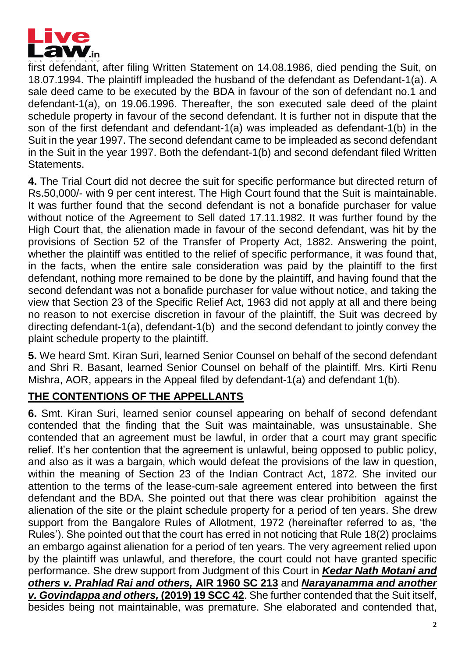

first defendant, after filing Written Statement on 14.08.1986, died pending the Suit, on 18.07.1994. The plaintiff impleaded the husband of the defendant as Defendant-1(a). A sale deed came to be executed by the BDA in favour of the son of defendant no.1 and defendant-1(a), on 19.06.1996. Thereafter, the son executed sale deed of the plaint schedule property in favour of the second defendant. It is further not in dispute that the son of the first defendant and defendant-1(a) was impleaded as defendant-1(b) in the Suit in the year 1997. The second defendant came to be impleaded as second defendant in the Suit in the year 1997. Both the defendant-1(b) and second defendant filed Written Statements.

**4.** The Trial Court did not decree the suit for specific performance but directed return of Rs.50,000/- with 9 per cent interest. The High Court found that the Suit is maintainable. It was further found that the second defendant is not a bonafide purchaser for value without notice of the Agreement to Sell dated 17.11.1982. It was further found by the High Court that, the alienation made in favour of the second defendant, was hit by the provisions of Section 52 of the Transfer of Property Act, 1882. Answering the point, whether the plaintiff was entitled to the relief of specific performance, it was found that, in the facts, when the entire sale consideration was paid by the plaintiff to the first defendant, nothing more remained to be done by the plaintiff, and having found that the second defendant was not a bonafide purchaser for value without notice, and taking the view that Section 23 of the Specific Relief Act, 1963 did not apply at all and there being no reason to not exercise discretion in favour of the plaintiff, the Suit was decreed by directing defendant-1(a), defendant-1(b) and the second defendant to jointly convey the plaint schedule property to the plaintiff.

**5.** We heard Smt. Kiran Suri, learned Senior Counsel on behalf of the second defendant and Shri R. Basant, learned Senior Counsel on behalf of the plaintiff. Mrs. Kirti Renu Mishra, AOR, appears in the Appeal filed by defendant-1(a) and defendant 1(b).

# **THE CONTENTIONS OF THE APPELLANTS**

**6.** Smt. Kiran Suri, learned senior counsel appearing on behalf of second defendant contended that the finding that the Suit was maintainable, was unsustainable. She contended that an agreement must be lawful, in order that a court may grant specific relief. It's her contention that the agreement is unlawful, being opposed to public policy, and also as it was a bargain, which would defeat the provisions of the law in question, within the meaning of Section 23 of the Indian Contract Act, 1872. She invited our attention to the terms of the lease-cum-sale agreement entered into between the first defendant and the BDA. She pointed out that there was clear prohibition against the alienation of the site or the plaint schedule property for a period of ten years. She drew support from the Bangalore Rules of Allotment, 1972 (hereinafter referred to as, 'the Rules'). She pointed out that the court has erred in not noticing that Rule 18(2) proclaims an embargo against alienation for a period of ten years. The very agreement relied upon by the plaintiff was unlawful, and therefore, the court could not have granted specific performance. She drew support from Judgment of this Court in *Kedar Nath Motani and others v. Prahlad Rai and others,* **AIR 1960 SC 213** and *Narayanamma and another v. Govindappa and others,* **(2019) 19 SCC 42**. She further contended that the Suit itself, besides being not maintainable, was premature. She elaborated and contended that,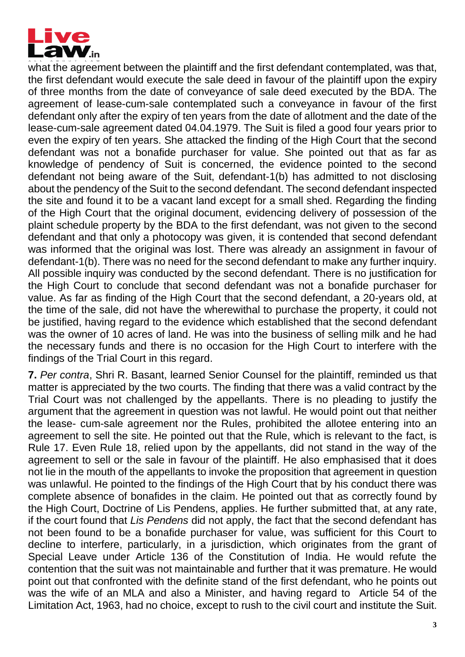

what the agreement between the plaintiff and the first defendant contemplated, was that, the first defendant would execute the sale deed in favour of the plaintiff upon the expiry of three months from the date of conveyance of sale deed executed by the BDA. The agreement of lease-cum-sale contemplated such a conveyance in favour of the first defendant only after the expiry of ten years from the date of allotment and the date of the lease-cum-sale agreement dated 04.04.1979. The Suit is filed a good four years prior to even the expiry of ten years. She attacked the finding of the High Court that the second defendant was not a bonafide purchaser for value. She pointed out that as far as knowledge of pendency of Suit is concerned, the evidence pointed to the second defendant not being aware of the Suit, defendant-1(b) has admitted to not disclosing about the pendency of the Suit to the second defendant. The second defendant inspected the site and found it to be a vacant land except for a small shed. Regarding the finding of the High Court that the original document, evidencing delivery of possession of the plaint schedule property by the BDA to the first defendant, was not given to the second defendant and that only a photocopy was given, it is contended that second defendant was informed that the original was lost. There was already an assignment in favour of defendant-1(b). There was no need for the second defendant to make any further inquiry. All possible inquiry was conducted by the second defendant. There is no justification for the High Court to conclude that second defendant was not a bonafide purchaser for value. As far as finding of the High Court that the second defendant, a 20-years old, at the time of the sale, did not have the wherewithal to purchase the property, it could not be justified, having regard to the evidence which established that the second defendant was the owner of 10 acres of land. He was into the business of selling milk and he had the necessary funds and there is no occasion for the High Court to interfere with the findings of the Trial Court in this regard.

**7.** *Per contra*, Shri R. Basant, learned Senior Counsel for the plaintiff, reminded us that matter is appreciated by the two courts. The finding that there was a valid contract by the Trial Court was not challenged by the appellants. There is no pleading to justify the argument that the agreement in question was not lawful. He would point out that neither the lease- cum-sale agreement nor the Rules, prohibited the allotee entering into an agreement to sell the site. He pointed out that the Rule, which is relevant to the fact, is Rule 17. Even Rule 18, relied upon by the appellants, did not stand in the way of the agreement to sell or the sale in favour of the plaintiff. He also emphasised that it does not lie in the mouth of the appellants to invoke the proposition that agreement in question was unlawful. He pointed to the findings of the High Court that by his conduct there was complete absence of bonafides in the claim. He pointed out that as correctly found by the High Court, Doctrine of Lis Pendens, applies. He further submitted that, at any rate, if the court found that *Lis Pendens* did not apply, the fact that the second defendant has not been found to be a bonafide purchaser for value, was sufficient for this Court to decline to interfere, particularly, in a jurisdiction, which originates from the grant of Special Leave under Article 136 of the Constitution of India. He would refute the contention that the suit was not maintainable and further that it was premature. He would point out that confronted with the definite stand of the first defendant, who he points out was the wife of an MLA and also a Minister, and having regard to Article 54 of the Limitation Act, 1963, had no choice, except to rush to the civil court and institute the Suit.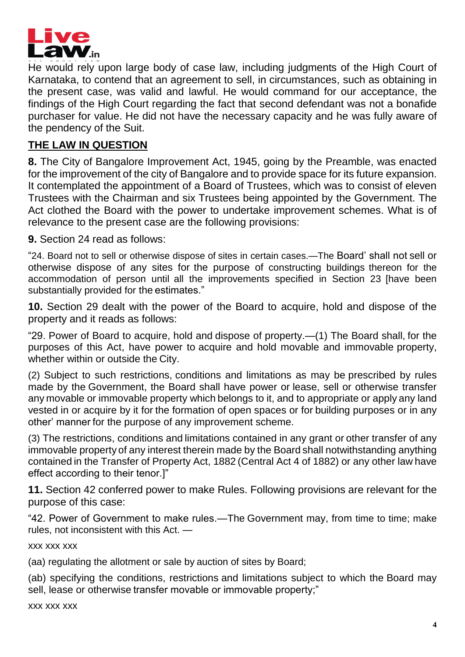

He would rely upon large body of case law, including judgments of the High Court of Karnataka, to contend that an agreement to sell, in circumstances, such as obtaining in the present case, was valid and lawful. He would command for our acceptance, the findings of the High Court regarding the fact that second defendant was not a bonafide purchaser for value. He did not have the necessary capacity and he was fully aware of the pendency of the Suit.

### **THE LAW IN QUESTION**

**8.** The City of Bangalore Improvement Act, 1945, going by the Preamble, was enacted for the improvement of the city of Bangalore and to provide space for its future expansion. It contemplated the appointment of a Board of Trustees, which was to consist of eleven Trustees with the Chairman and six Trustees being appointed by the Government. The Act clothed the Board with the power to undertake improvement schemes. What is of relevance to the present case are the following provisions:

**9.** Section 24 read as follows:

"24. Board not to sell or otherwise dispose of sites in certain cases.—The Board' shall not sell or otherwise dispose of any sites for the purpose of constructing buildings thereon for the accommodation of person until all the improvements specified in Section 23 [have been substantially provided for the estimates."

**10.** Section 29 dealt with the power of the Board to acquire, hold and dispose of the property and it reads as follows:

"29. Power of Board to acquire, hold and dispose of property.—(1) The Board shall, for the purposes of this Act, have power to acquire and hold movable and immovable property, whether within or outside the City.

(2) Subject to such restrictions, conditions and limitations as may be prescribed by rules made by the Government, the Board shall have power or lease, sell or otherwise transfer any movable or immovable property which belongs to it, and to appropriate or apply any land vested in or acquire by it for the formation of open spaces or for building purposes or in any other' manner for the purpose of any improvement scheme.

(3) The restrictions, conditions and limitations contained in any grant or other transfer of any immovable property of any interest therein made by the Board shall notwithstanding anything contained in the Transfer of Property Act, 1882 (Central Act 4 of 1882) or any other law have effect according to their tenor.]"

**11.** Section 42 conferred power to make Rules. Following provisions are relevant for the purpose of this case:

"42. Power of Government to make rules.—The Government may, from time to time; make rules, not inconsistent with this Act. —

xxx xxx xxx

(aa) regulating the allotment or sale by auction of sites by Board;

(ab) specifying the conditions, restrictions and limitations subject to which the Board may sell, lease or otherwise transfer movable or immovable property;"

xxx xxx xxx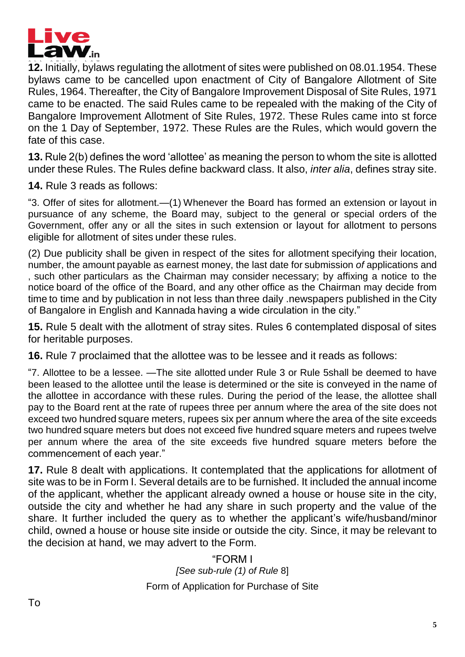

**12.** Initially, bylaws regulating the allotment of sites were published on 08.01.1954. These bylaws came to be cancelled upon enactment of City of Bangalore Allotment of Site Rules, 1964. Thereafter, the City of Bangalore Improvement Disposal of Site Rules, 1971 came to be enacted. The said Rules came to be repealed with the making of the City of Bangalore Improvement Allotment of Site Rules, 1972. These Rules came into st force on the 1 Day of September, 1972. These Rules are the Rules, which would govern the fate of this case.

**13.** Rule 2(b) defines the word 'allottee' as meaning the person to whom the site is allotted under these Rules. The Rules define backward class. It also, *inter alia*, defines stray site.

**14.** Rule 3 reads as follows:

"3. Offer of sites for allotment.—(1) Whenever the Board has formed an extension or layout in pursuance of any scheme, the Board may, subject to the general or special orders of the Government, offer any or all the sites in such extension or layout for allotment to persons eligible for allotment of sites under these rules.

(2) Due publicity shall be given in respect of the sites for allotment specifying their location, number, the amount payable as earnest money, the last date for submission *of* applications and , such other particulars as the Chairman may consider necessary; by affixing a notice to the notice board of the office of the Board, and any other office as the Chairman may decide from time to time and by publication in not less than three daily .newspapers published in the City of Bangalore in English and Kannada having a wide circulation in the city."

**15.** Rule 5 dealt with the allotment of stray sites. Rules 6 contemplated disposal of sites for heritable purposes.

**16.** Rule 7 proclaimed that the allottee was to be lessee and it reads as follows:

"7. Allottee to be a lessee. —The site allotted under Rule 3 or Rule 5shall be deemed to have been leased to the allottee until the lease is determined or the site is conveyed in the name of the allottee in accordance with these rules. During the period of the lease, the allottee shall pay to the Board rent at the rate of rupees three per annum where the area of the site does not exceed two hundred square meters, rupees six per annum where the area of the site exceeds two hundred square meters but does not exceed five hundred square meters and rupees twelve per annum where the area of the site exceeds five hundred square meters before the commencement of each year."

**17.** Rule 8 dealt with applications. It contemplated that the applications for allotment of site was to be in Form I. Several details are to be furnished. It included the annual income of the applicant, whether the applicant already owned a house or house site in the city, outside the city and whether he had any share in such property and the value of the share. It further included the query as to whether the applicant's wife/husband/minor child, owned a house or house site inside or outside the city. Since, it may be relevant to the decision at hand, we may advert to the Form.

> "FORM I *[See sub-rule (1) of Rule* 8] Form of Application for Purchase of Site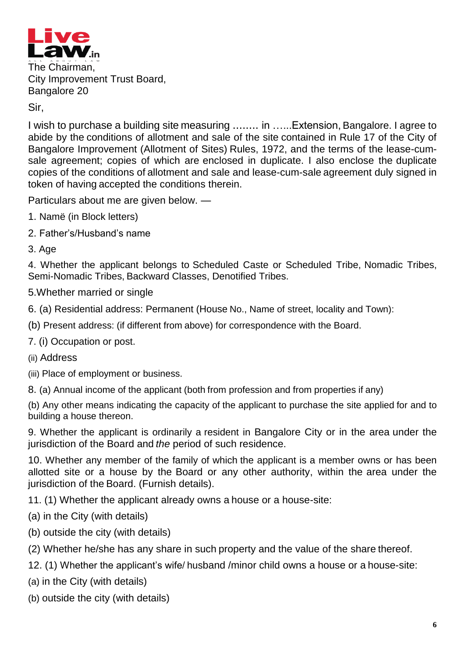

The Chairman, City Improvement Trust Board, Bangalore 20

#### Sir,

I wish to purchase a building site measuring ........ in …...Extension, Bangalore. I agree to abide by the conditions of allotment and sale of the site contained in Rule 17 of the City of Bangalore Improvement (Allotment of Sites) Rules, 1972, and the terms of the lease-cumsale agreement; copies of which are enclosed in duplicate. I also enclose the duplicate copies of the conditions of allotment and sale and lease-cum-sale agreement duly signed in token of having accepted the conditions therein.

Particulars about me are given below. —

- 1. Namë (in Block letters)
- 2. Father's/Husband's name
- 3. Age

4. Whether the applicant belongs to Scheduled Caste or Scheduled Tribe, Nomadic Tribes, Semi-Nomadic Tribes, Backward Classes, Denotified Tribes.

- 5.Whether married or single
- 6. (a) Residential address: Permanent (House No., Name of street, locality and Town):

(b) Present address: (if different from above) for correspondence with the Board.

- 7. (i) Occupation or post.
- (ii) Address

(iii) Place of employment or business.

8. (a) Annual income of the applicant (both from profession and from properties if any)

(b) Any other means indicating the capacity of the applicant to purchase the site applied for and to building a house thereon.

9. Whether the applicant is ordinarily a resident in Bangalore City or in the area under the jurisdiction of the Board and *the* period of such residence.

10. Whether any member of the family of which the applicant is a member owns or has been allotted site or a house by the Board or any other authority, within the area under the jurisdiction of the Board. (Furnish details).

11. (1) Whether the applicant already owns a house or a house-site:

(a) in the City (with details)

- (b) outside the city (with details)
- (2) Whether he/she has any share in such property and the value of the share thereof.
- 12. (1) Whether the applicant's wife/ husband /minor child owns a house or a house-site:

(a) in the City (with details)

(b) outside the city (with details)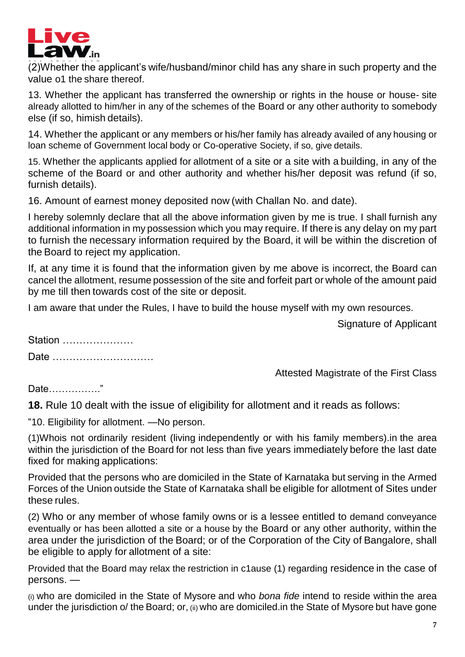

(2)Whether the applicant's wife/husband/minor child has any share in such property and the value o1 the share thereof.

13. Whether the applicant has transferred the ownership or rights in the house or house- site already allotted to him/her in any of the schemes of the Board or any other authority to somebody else (if so, himish details).

14. Whether the applicant or any members or his/her family has already availed of any housing or loan scheme of Government local body or Co-operative Society, if so, give details.

15. Whether the applicants applied for allotment of a site or a site with a building, in any of the scheme of the Board or and other authority and whether his/her deposit was refund (if so, furnish details).

16. Amount of earnest money deposited now (with Challan No. and date).

I hereby solemnly declare that all the above information given by me is true. I shall furnish any additional information in my possession which you may require. If there is any delay on my part to furnish the necessary information required by the Board, it will be within the discretion of the Board to reject my application.

If, at any time it is found that the information given by me above is incorrect, the Board can cancel the allotment, resume possession of the site and forfeit part or whole of the amount paid by me till then towards cost of the site or deposit.

I am aware that under the Rules, I have to build the house myself with my own resources.

Signature of Applicant

Station …………………

Date …………………………

Attested Magistrate of the First Class

Date……………."

**18.** Rule 10 dealt with the issue of eligibility for allotment and it reads as follows:

"10. Eligibility for allotment. —No person.

(1)Whois not ordinarily resident (living independently or with his family members).in the area within the jurisdiction of the Board for not less than five years immediately before the last date fixed for making applications:

Provided that the persons who are domiciled in the State of Karnataka but serving in the Armed Forces of the Union outside the State of Karnataka shall be eligible for allotment of Sites under these rules.

(2) Who or any member of whose family owns or is a lessee entitled to demand conveyance eventually or has been allotted a site or a house by the Board or any other authority, within the area under the jurisdiction of the Board; or of the Corporation of the City of Bangalore, shall be eligible to apply for allotment of a site:

Provided that the Board may relax the restriction in c1ause (1) regarding residence in the case of persons. —

(i) who are domiciled in the State of Mysore and who *bona fide* intend to reside within the area under the jurisdiction o/ the Board; or, (ii) who are domiciled.in the State of Mysore but have gone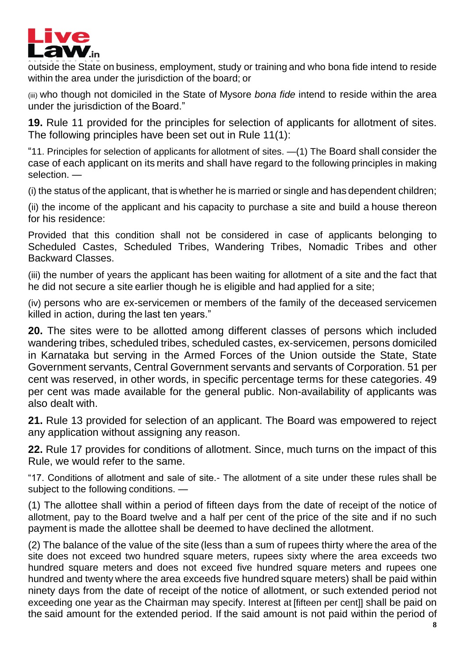

outside the State on business, employment, study or training and who bona fide intend to reside within the area under the jurisdiction of the board; or

(iii) who though not domiciled in the State of Mysore *bona fide* intend to reside within the area under the jurisdiction of the Board."

**19.** Rule 11 provided for the principles for selection of applicants for allotment of sites. The following principles have been set out in Rule 11(1):

"11. Principles for selection of applicants for allotment of sites. —(1) The Board shall consider the case of each applicant on its merits and shall have regard to the following principles in making selection. —

(i) the status of the applicant, that is whether he is married or single and has dependent children;

(ii) the income of the applicant and his capacity to purchase a site and build a house thereon for his residence:

Provided that this condition shall not be considered in case of applicants belonging to Scheduled Castes, Scheduled Tribes, Wandering Tribes, Nomadic Tribes and other Backward Classes.

(iii) the number of years the applicant has been waiting for allotment of a site and the fact that he did not secure a site earlier though he is eligible and had applied for a site;

(iv) persons who are ex-servicemen or members of the family of the deceased servicemen killed in action, during the last ten years."

**20.** The sites were to be allotted among different classes of persons which included wandering tribes, scheduled tribes, scheduled castes, ex-servicemen, persons domiciled in Karnataka but serving in the Armed Forces of the Union outside the State, State Government servants, Central Government servants and servants of Corporation. 51 per cent was reserved, in other words, in specific percentage terms for these categories. 49 per cent was made available for the general public. Non-availability of applicants was also dealt with.

**21.** Rule 13 provided for selection of an applicant. The Board was empowered to reject any application without assigning any reason.

**22.** Rule 17 provides for conditions of allotment. Since, much turns on the impact of this Rule, we would refer to the same.

"17. Conditions of allotment and sale of site.- The allotment of a site under these rules shall be subject to the following conditions. —

(1) The allottee shall within a period of fifteen days from the date of receipt of the notice of allotment, pay to the Board twelve and a half per cent of the price of the site and if no such payment is made the allottee shall be deemed to have declined the allotment.

(2) The balance of the value of the site (less than a sum of rupees thirty where the area of the site does not exceed two hundred square meters, rupees sixty where the area exceeds two hundred square meters and does not exceed five hundred square meters and rupees one hundred and twenty where the area exceeds five hundred square meters) shall be paid within ninety days from the date of receipt of the notice of allotment, or such extended period not exceeding one year as the Chairman may specify. Interest at [fifteen per cent]] shall be paid on the said amount for the extended period. If the said amount is not paid within the period of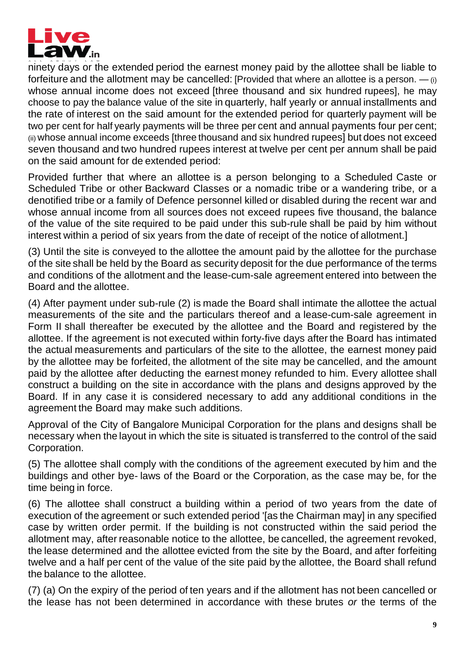

ninety days or the extended period the earnest money paid by the allottee shall be liable to forfeiture and the allotment may be cancelled: [Provided that where an allottee is a person.  $-$  (i) whose annual income does not exceed [three thousand and six hundred rupees], he may choose to pay the balance value of the site in quarterly, half yearly or annual installments and the rate of interest on the said amount for the extended period for quarterly payment will be two per cent for half yearly payments will be three per cent and annual payments four per cent; (ii) whose annual income exceeds [three thousand and six hundred rupees] but does not exceed seven thousand and two hundred rupees interest at twelve per cent per annum shall be paid on the said amount for de extended period:

Provided further that where an allottee is a person belonging to a Scheduled Caste or Scheduled Tribe or other Backward Classes or a nomadic tribe or a wandering tribe, or a denotified tribe or a family of Defence personnel killed or disabled during the recent war and whose annual income from all sources does not exceed rupees five thousand, the balance of the value of the site required to be paid under this sub-rule shall be paid by him without interest within a period of six years from the date of receipt of the notice of allotment.]

(3) Until the site is conveyed to the allottee the amount paid by the allottee for the purchase of the site shall be held by the Board as security deposit for the due performance of the terms and conditions of the allotment and the lease-cum-sale agreement entered into between the Board and the allottee.

(4) After payment under sub-rule (2) is made the Board shall intimate the allottee the actual measurements of the site and the particulars thereof and a lease-cum-sale agreement in Form II shall thereafter be executed by the allottee and the Board and registered by the allottee. If the agreement is not executed within forty-five days after the Board has intimated the actual measurements and particulars of the site to the allottee, the earnest money paid by the allottee may be forfeited, the allotment of the site may be cancelled, and the amount paid by the allottee after deducting the earnest money refunded to him. Every allottee shall construct a building on the site in accordance with the plans and designs approved by the Board. If in any case it is considered necessary to add any additional conditions in the agreement the Board may make such additions.

Approval of the City of Bangalore Municipal Corporation for the plans and designs shall be necessary when the layout in which the site is situated is transferred to the control of the said Corporation.

(5) The allottee shall comply with the conditions of the agreement executed by him and the buildings and other bye- laws of the Board or the Corporation, as the case may be, for the time being in force.

(6) The allottee shall construct a building within a period of two years from the date of execution of the agreement or such extended period '[as the Chairman may] in any specified case by written order permit. If the building is not constructed within the said period the allotment may, after reasonable notice to the allottee, be cancelled, the agreement revoked, the lease determined and the allottee evicted from the site by the Board, and after forfeiting twelve and a half per cent of the value of the site paid by the allottee, the Board shall refund the balance to the allottee.

(7) (a) On the expiry of the period of ten years and if the allotment has not been cancelled or the lease has not been determined in accordance with these brutes *or* the terms of the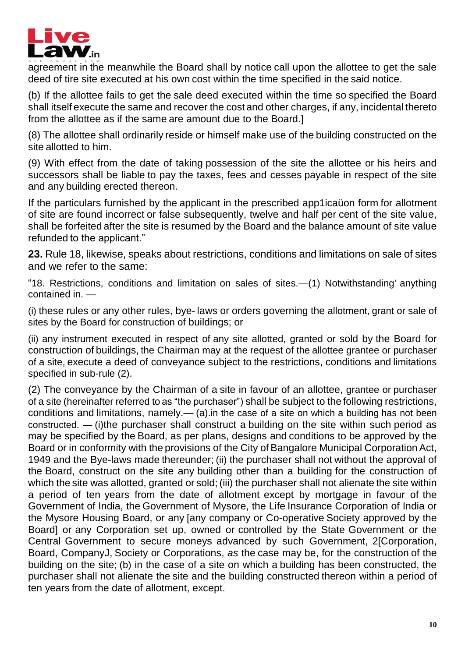

agreement in the meanwhile the Board shall by notice call upon the allottee to get the sale deed of tire site executed at his own cost within the time specified in the said notice.

(b) If the allottee fails to get the sale deed executed within the time so specified the Board shall itself execute the same and recover the cost and other charges, if any, incidental thereto from the allottee as if the same are amount due to the Board.]

(8) The allottee shall ordinarily reside or himself make use of the building constructed on the site allotted to him.

(9) With effect from the date of taking possession of the site the allottee or his heirs and successors shall be liable to pay the taxes, fees and cesses payable in respect of the site and any building erected thereon.

If the particulars furnished by the applicant in the prescribed app1icaüon form for allotment of site are found incorrect or false subsequently, twelve and half per cent of the site value, shall be forfeited after the site is resumed by the Board and the balance amount of site value refunded to the applicant."

**23.** Rule 18, likewise, speaks about restrictions, conditions and limitations on sale of sites and we refer to the same:

"18. Restrictions, conditions and limitation on sales of sites.—(1) Notwithstanding' anything contained in. —

(i) these rules or any other rules, bye- laws or orders governing the allotment, grant or sale of sites by the Board for construction of buildings; or

(ii) any instrument executed in respect of any site allotted, granted or sold by the Board for construction of buildings, the Chairman may at the request of the allottee grantee or purchaser of a site, execute a deed of conveyance subject to the restrictions, conditions and limitations specified in sub-rule (2).

(2) The conveyance by the Chairman of a site in favour of an allottee, grantee or purchaser of a site (hereinafter referred to as "the purchaser") shall be subject to the following restrictions, conditions and limitations, namely.— (a).in the case of a site on which a building has not been constructed. — (i)the purchaser shall construct a building on the site within such period as may be specified by the Board, as per plans, designs and conditions to be approved by the Board or in conformity with the provisions of the City of Bangalore Municipal Corporation Act, 1949 and the Bye-laws made thereunder; (ii) the purchaser shall not without the approval of the Board, construct on the site any building other than a building for the construction of which the site was allotted, granted or sold; (iii) the purchaser shall not alienate the site within a period of ten years from the date of allotment except by mortgage in favour of the Government of India, the Government of Mysore, the Life Insurance Corporation of India or the Mysore Housing Board, or any [any company or Co-operative Society approved by the Board] or any Corporation set up, owned or controlled by the State Government or the Central Government to secure moneys advanced by such Government, 2[Corporation, Board, CompanyJ, Society or Corporations, *as* the case may be, for the construction of the building on the site; (b) in the case of a site on which a building has been constructed, the purchaser shall not alienate the site and the building constructed thereon within a period of ten years from the date of allotment, except.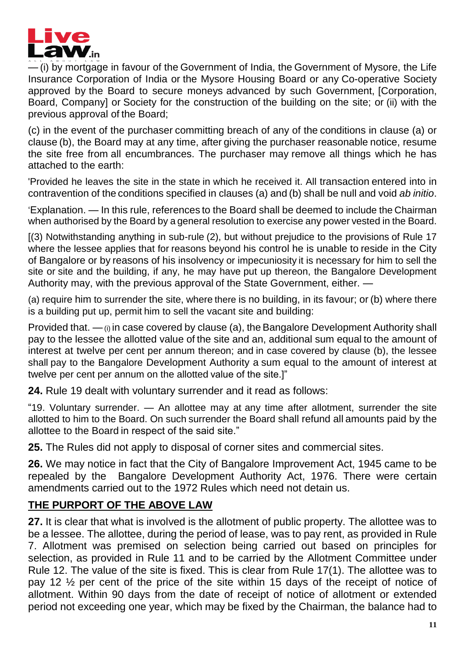

— (i) by mortgage in favour of the Government of India, the Government of Mysore, the Life Insurance Corporation of India or the Mysore Housing Board or any Co-operative Society approved by the Board to secure moneys advanced by such Government, [Corporation, Board, Company] or Society for the construction of the building on the site; or (ii) with the previous approval of the Board;

(c) in the event of the purchaser committing breach of any of the conditions in clause (a) or clause (b), the Board may at any time, after giving the purchaser reasonable notice, resume the site free from all encumbrances. The purchaser may remove all things which he has attached to the earth:

'Provided he leaves the site in the state in which he received it. All transaction entered into in contravention of the conditions specified in clauses (a) and (b) shall be null and void *ab initio*.

'Explanation. — In this rule, references to the Board shall be deemed to include the Chairman when authorised by the Board by a general resolution to exercise any power vested in the Board.

[(3) Notwithstanding anything in sub-rule (2), but without prejudice to the provisions of Rule 17 where the lessee applies that for reasons beyond his control he is unable to reside in the City of Bangalore or by reasons of his insolvency or impecuniosity it is necessary for him to sell the site or site and the building, if any, he may have put up thereon, the Bangalore Development Authority may, with the previous approval of the State Government, either. —

(a) require him to surrender the site, where there is no building, in its favour; or (b) where there is a building put up, permit him to sell the vacant site and building:

Provided that.  $-\omega$  in case covered by clause (a), the Bangalore Development Authority shall pay to the lessee the allotted value of the site and an, additional sum equal to the amount of interest at twelve per cent per annum thereon; and in case covered by clause (b), the lessee shall pay to the Bangalore Development Authority a sum equal to the amount of interest at twelve per cent per annum on the allotted value of the site.]"

**24.** Rule 19 dealt with voluntary surrender and it read as follows:

"19. Voluntary surrender. — An allottee may at any time after allotment, surrender the site allotted to him to the Board. On such surrender the Board shall refund all amounts paid by the allottee to the Board in respect of the said site."

**25.** The Rules did not apply to disposal of corner sites and commercial sites.

**26.** We may notice in fact that the City of Bangalore Improvement Act, 1945 came to be repealed by the Bangalore Development Authority Act, 1976. There were certain amendments carried out to the 1972 Rules which need not detain us.

# **THE PURPORT OF THE ABOVE LAW**

**27.** It is clear that what is involved is the allotment of public property. The allottee was to be a lessee. The allottee, during the period of lease, was to pay rent, as provided in Rule 7. Allotment was premised on selection being carried out based on principles for selection, as provided in Rule 11 and to be carried by the Allotment Committee under Rule 12. The value of the site is fixed. This is clear from Rule 17(1). The allottee was to pay 12 ½ per cent of the price of the site within 15 days of the receipt of notice of allotment. Within 90 days from the date of receipt of notice of allotment or extended period not exceeding one year, which may be fixed by the Chairman, the balance had to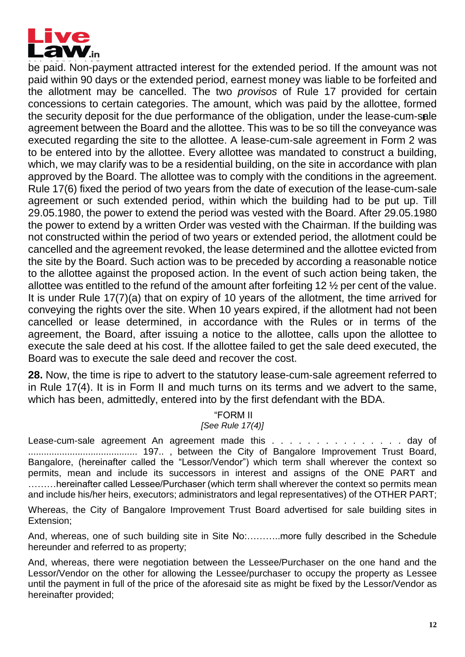

be paid. Non-payment attracted interest for the extended period. If the amount was not paid within 90 days or the extended period, earnest money was liable to be forfeited and the allotment may be cancelled. The two *provisos* of Rule 17 provided for certain concessions to certain categories. The amount, which was paid by the allottee, formed the security deposit for the due performance of the obligation, under the lease-cum-sale agreement between the Board and the allottee. This was to be so till the conveyance was executed regarding the site to the allottee. A lease-cum-sale agreement in Form 2 was to be entered into by the allottee. Every allottee was mandated to construct a building, which, we may clarify was to be a residential building, on the site in accordance with plan approved by the Board. The allottee was to comply with the conditions in the agreement. Rule 17(6) fixed the period of two years from the date of execution of the lease-cum-sale agreement or such extended period, within which the building had to be put up. Till 29.05.1980, the power to extend the period was vested with the Board. After 29.05.1980 the power to extend by a written Order was vested with the Chairman. If the building was not constructed within the period of two years or extended period, the allotment could be cancelled and the agreement revoked, the lease determined and the allottee evicted from the site by the Board. Such action was to be preceded by according a reasonable notice to the allottee against the proposed action. In the event of such action being taken, the allottee was entitled to the refund of the amount after forfeiting 12 ½ per cent of the value. It is under Rule 17(7)(a) that on expiry of 10 years of the allotment, the time arrived for conveying the rights over the site. When 10 years expired, if the allotment had not been cancelled or lease determined, in accordance with the Rules or in terms of the agreement, the Board, after issuing a notice to the allottee, calls upon the allottee to execute the sale deed at his cost. If the allottee failed to get the sale deed executed, the Board was to execute the sale deed and recover the cost.

**28.** Now, the time is ripe to advert to the statutory lease-cum-sale agreement referred to in Rule 17(4). It is in Form II and much turns on its terms and we advert to the same, which has been, admittedly, entered into by the first defendant with the BDA.

# "FORM II

*[See Rule 17(4)]*

Lease-cum-sale agreement An agreement made this . . . . . . . . . . . . . . . day of .......................................... 197.. , between the City of Bangalore Improvement Trust Board, Bangalore, (hereinafter called the "Lessor/Vendor") which term shall wherever the context so permits, mean and include its successors in interest and assigns of the ONE PART and .........hereinafter called Lessee/Purchaser (which term shall wherever the context so permits mean and include his/her heirs, executors; administrators and legal representatives) of the OTHER PART;

Whereas, the City of Bangalore Improvement Trust Board advertised for sale building sites in Extension;

And, whereas, one of such building site in Site No:………..more fully described in the Schedule hereunder and referred to as property;

And, whereas, there were negotiation between the Lessee/Purchaser on the one hand and the Lessor/Vendor on the other for allowing the Lessee/purchaser to occupy the property as Lessee until the payment in full of the price of the aforesaid site as might be fixed by the Lessor/Vendor as hereinafter provided;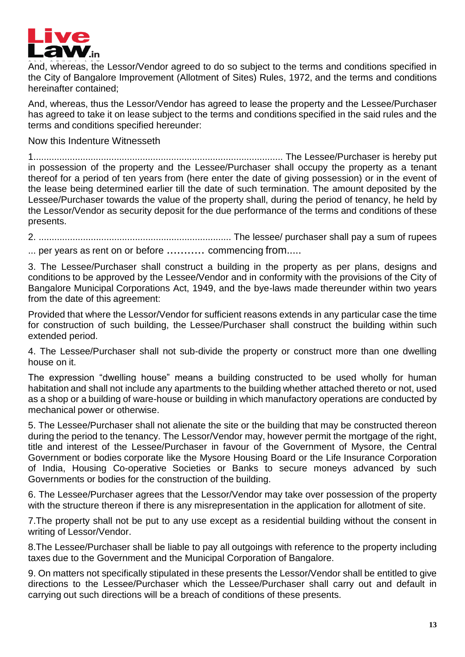

And, whereas, the Lessor/Vendor agreed to do so subject to the terms and conditions specified in the City of Bangalore Improvement (Allotment of Sites) Rules, 1972, and the terms and conditions hereinafter contained;

And, whereas, thus the Lessor/Vendor has agreed to lease the property and the Lessee/Purchaser has agreed to take it on lease subject to the terms and conditions specified in the said rules and the terms and conditions specified hereunder:

Now this Indenture Witnesseth

1................................................................................................ The Lessee/Purchaser is hereby put in possession of the property and the Lessee/Purchaser shall occupy the property as a tenant thereof for a period of ten years from (here enter the date of giving possession) or in the event of the lease being determined earlier till the date of such termination. The amount deposited by the Lessee/Purchaser towards the value of the property shall, during the period of tenancy, he held by the Lessor/Vendor as security deposit for the due performance of the terms and conditions of these presents.

2. .......................................................................... The lessee/ purchaser shall pay a sum of rupees ... per years as rent on or before ........... commencing from.....

3. The Lessee/Purchaser shall construct a building in the property as per plans, designs and conditions to be approved by the Lessee/Vendor and in conformity with the provisions of the City of Bangalore Municipal Corporations Act, 1949, and the bye-laws made thereunder within two years from the date of this agreement:

Provided that where the Lessor/Vendor for sufficient reasons extends in any particular case the time for construction of such building, the Lessee/Purchaser shall construct the building within such extended period.

4. The Lessee/Purchaser shall not sub-divide the property or construct more than one dwelling house on it.

The expression "dwelling house" means a building constructed to be used wholly for human habitation and shall not include any apartments to the building whether attached thereto or not, used as a shop or a building of ware-house or building in which manufactory operations are conducted by mechanical power or otherwise.

5. The Lessee/Purchaser shall not alienate the site or the building that may be constructed thereon during the period to the tenancy. The Lessor/Vendor may, however permit the mortgage of the right, title and interest of the Lessee/Purchaser in favour of the Government of Mysore, the Central Government or bodies corporate like the Mysore Housing Board or the Life Insurance Corporation of India, Housing Co-operative Societies or Banks to secure moneys advanced by such Governments or bodies for the construction of the building.

6. The Lessee/Purchaser agrees that the Lessor/Vendor may take over possession of the property with the structure thereon if there is any misrepresentation in the application for allotment of site.

7.The property shall not be put to any use except as a residential building without the consent in writing of Lessor/Vendor.

8.The Lessee/Purchaser shall be liable to pay all outgoings with reference to the property including taxes due to the Government and the Municipal Corporation of Bangalore.

9. On matters not specifically stipulated in these presents the Lessor/Vendor shall be entitled to give directions to the Lessee/Purchaser which the Lessee/Purchaser shall carry out and default in carrying out such directions will be a breach of conditions of these presents.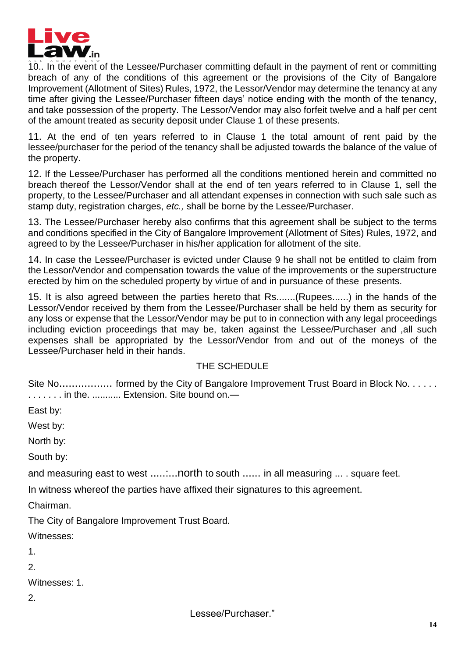

10.. In the event of the Lessee/Purchaser committing default in the payment of rent or committing breach of any of the conditions of this agreement or the provisions of the City of Bangalore Improvement (Allotment of Sites) Rules, 1972, the Lessor/Vendor may determine the tenancy at any time after giving the Lessee/Purchaser fifteen days' notice ending with the month of the tenancy, and take possession of the property. The Lessor/Vendor may also forfeit twelve and a half per cent of the amount treated as security deposit under Clause 1 of these presents.

11. At the end of ten years referred to in Clause 1 the total amount of rent paid by the lessee/purchaser for the period of the tenancy shall be adjusted towards the balance of the value of the property.

12. If the Lessee/Purchaser has performed all the conditions mentioned herein and committed no breach thereof the Lessor/Vendor shall at the end of ten years referred to in Clause 1, sell the property, to the Lessee/Purchaser and all attendant expenses in connection with such sale such as stamp duty, registration charges, *etc.,* shall be borne by the Lessee/Purchaser.

13. The Lessee/Purchaser hereby also confirms that this agreement shall be subject to the terms and conditions specified in the City of Bangalore Improvement (Allotment of Sites) Rules, 1972, and agreed to by the Lessee/Purchaser in his/her application for allotment of the site.

14. In case the Lessee/Purchaser is evicted under Clause 9 he shall not be entitled to claim from the Lessor/Vendor and compensation towards the value of the improvements or the superstructure erected by him on the scheduled property by virtue of and in pursuance of these presents.

15. It is also agreed between the parties hereto that Rs.......(Rupees......) in the hands of the Lessor/Vendor received by them from the Lessee/Purchaser shall be held by them as security for any loss or expense that the Lessor/Vendor may be put to in connection with any legal proceedings including eviction proceedings that may be, taken against the Lessee/Purchaser and ,all such expenses shall be appropriated by the Lessor/Vendor from and out of the moneys of the Lessee/Purchaser held in their hands.

#### THE SCHEDULE

Site No.................... formed by the City of Bangalore Improvement Trust Board in Block No...... . . . . . . . in the. ........... Extension. Site bound on.—

East by:

West by:

North by:

South by:

and measuring east to west .........north to south ...... in all measuring ... . square feet.

In witness whereof the parties have affixed their signatures to this agreement.

Chairman.

The City of Bangalore Improvement Trust Board.

Witnesses:

1.

2.

Witnesses: 1

2.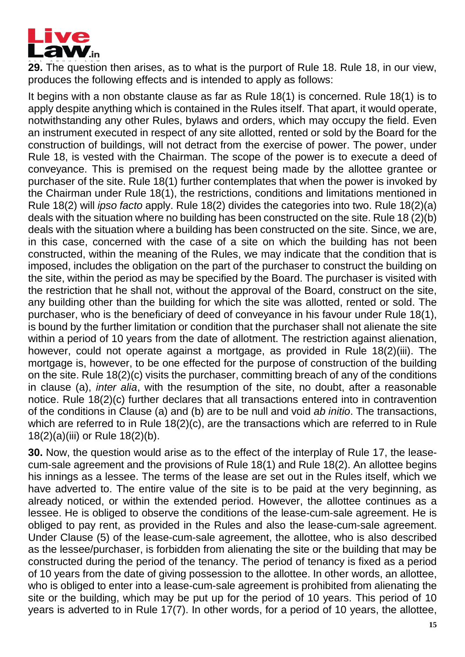

**29.** The question then arises, as to what is the purport of Rule 18. Rule 18, in our view, produces the following effects and is intended to apply as follows:

It begins with a non obstante clause as far as Rule 18(1) is concerned. Rule 18(1) is to apply despite anything which is contained in the Rules itself. That apart, it would operate, notwithstanding any other Rules, bylaws and orders, which may occupy the field. Even an instrument executed in respect of any site allotted, rented or sold by the Board for the construction of buildings, will not detract from the exercise of power. The power, under Rule 18, is vested with the Chairman. The scope of the power is to execute a deed of conveyance. This is premised on the request being made by the allottee grantee or purchaser of the site. Rule 18(1) further contemplates that when the power is invoked by the Chairman under Rule 18(1), the restrictions, conditions and limitations mentioned in Rule 18(2) will *ipso facto* apply. Rule 18(2) divides the categories into two. Rule 18(2)(a) deals with the situation where no building has been constructed on the site. Rule 18 (2)(b) deals with the situation where a building has been constructed on the site. Since, we are, in this case, concerned with the case of a site on which the building has not been constructed, within the meaning of the Rules, we may indicate that the condition that is imposed, includes the obligation on the part of the purchaser to construct the building on the site, within the period as may be specified by the Board. The purchaser is visited with the restriction that he shall not, without the approval of the Board, construct on the site, any building other than the building for which the site was allotted, rented or sold. The purchaser, who is the beneficiary of deed of conveyance in his favour under Rule 18(1), is bound by the further limitation or condition that the purchaser shall not alienate the site within a period of 10 years from the date of allotment. The restriction against alienation, however, could not operate against a mortgage, as provided in Rule 18(2)(iii). The mortgage is, however, to be one effected for the purpose of construction of the building on the site. Rule 18(2)(c) visits the purchaser, committing breach of any of the conditions in clause (a), *inter alia*, with the resumption of the site, no doubt, after a reasonable notice. Rule 18(2)(c) further declares that all transactions entered into in contravention of the conditions in Clause (a) and (b) are to be null and void *ab initio*. The transactions, which are referred to in Rule 18(2)(c), are the transactions which are referred to in Rule 18(2)(a)(iii) or Rule 18(2)(b).

**30.** Now, the question would arise as to the effect of the interplay of Rule 17, the leasecum-sale agreement and the provisions of Rule 18(1) and Rule 18(2). An allottee begins his innings as a lessee. The terms of the lease are set out in the Rules itself, which we have adverted to. The entire value of the site is to be paid at the very beginning, as already noticed, or within the extended period. However, the allottee continues as a lessee. He is obliged to observe the conditions of the lease-cum-sale agreement. He is obliged to pay rent, as provided in the Rules and also the lease-cum-sale agreement. Under Clause (5) of the lease-cum-sale agreement, the allottee, who is also described as the lessee/purchaser, is forbidden from alienating the site or the building that may be constructed during the period of the tenancy. The period of tenancy is fixed as a period of 10 years from the date of giving possession to the allottee. In other words, an allottee, who is obliged to enter into a lease-cum-sale agreement is prohibited from alienating the site or the building, which may be put up for the period of 10 years. This period of 10 years is adverted to in Rule 17(7). In other words, for a period of 10 years, the allottee,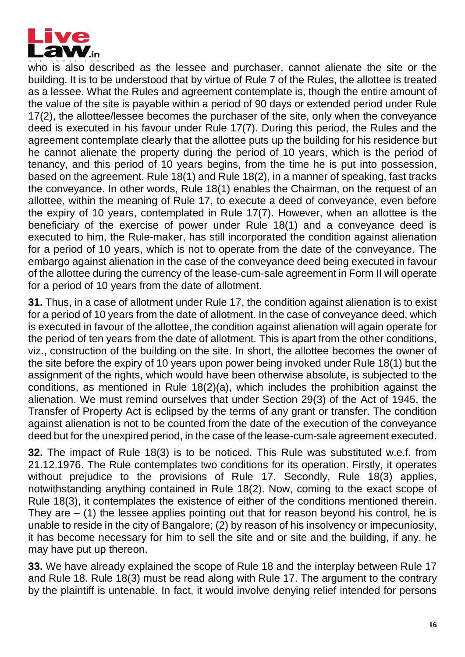

who is also described as the lessee and purchaser, cannot alienate the site or the building. It is to be understood that by virtue of Rule 7 of the Rules, the allottee is treated as a lessee. What the Rules and agreement contemplate is, though the entire amount of the value of the site is payable within a period of 90 days or extended period under Rule 17(2), the allottee/lessee becomes the purchaser of the site, only when the conveyance deed is executed in his favour under Rule 17(7). During this period, the Rules and the agreement contemplate clearly that the allottee puts up the building for his residence but he cannot alienate the property during the period of 10 years, which is the period of tenancy, and this period of 10 years begins, from the time he is put into possession, based on the agreement. Rule 18(1) and Rule 18(2), in a manner of speaking, fast tracks the conveyance. In other words, Rule 18(1) enables the Chairman, on the request of an allottee, within the meaning of Rule 17, to execute a deed of conveyance, even before the expiry of 10 years, contemplated in Rule 17(7). However, when an allottee is the beneficiary of the exercise of power under Rule 18(1) and a conveyance deed is executed to him, the Rule-maker, has still incorporated the condition against alienation for a period of 10 years, which is not to operate from the date of the conveyance. The embargo against alienation in the case of the conveyance deed being executed in favour of the allottee during the currency of the lease-cum-sale agreement in Form II will operate for a period of 10 years from the date of allotment.

**31.** Thus, in a case of allotment under Rule 17, the condition against alienation is to exist for a period of 10 years from the date of allotment. In the case of conveyance deed, which is executed in favour of the allottee, the condition against alienation will again operate for the period of ten years from the date of allotment. This is apart from the other conditions, viz., construction of the building on the site. In short, the allottee becomes the owner of the site before the expiry of 10 years upon power being invoked under Rule 18(1) but the assignment of the rights, which would have been otherwise absolute, is subjected to the conditions, as mentioned in Rule 18(2)(a), which includes the prohibition against the alienation. We must remind ourselves that under Section 29(3) of the Act of 1945, the Transfer of Property Act is eclipsed by the terms of any grant or transfer. The condition against alienation is not to be counted from the date of the execution of the conveyance deed but for the unexpired period, in the case of the lease-cum-sale agreement executed.

**32.** The impact of Rule 18(3) is to be noticed. This Rule was substituted w.e.f. from 21.12.1976. The Rule contemplates two conditions for its operation. Firstly, it operates without prejudice to the provisions of Rule 17. Secondly, Rule 18(3) applies, notwithstanding anything contained in Rule 18(2). Now, coming to the exact scope of Rule 18(3), it contemplates the existence of either of the conditions mentioned therein. They are  $-$  (1) the lessee applies pointing out that for reason beyond his control, he is unable to reside in the city of Bangalore; (2) by reason of his insolvency or impecuniosity, it has become necessary for him to sell the site and or site and the building, if any, he may have put up thereon.

**33.** We have already explained the scope of Rule 18 and the interplay between Rule 17 and Rule 18. Rule 18(3) must be read along with Rule 17. The argument to the contrary by the plaintiff is untenable. In fact, it would involve denying relief intended for persons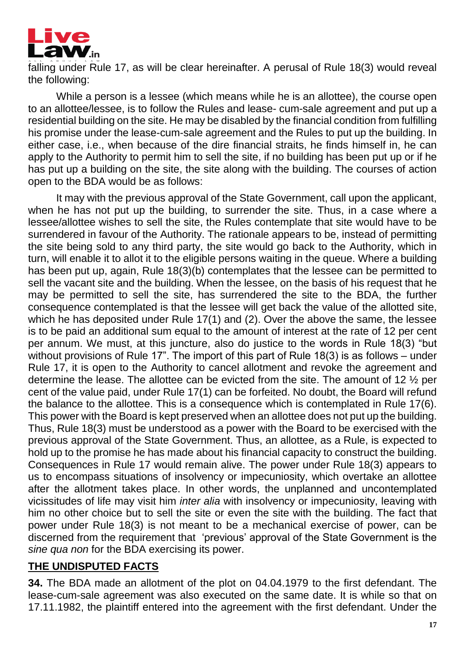

falling under Rule 17, as will be clear hereinafter. A perusal of Rule 18(3) would reveal the following:

While a person is a lessee (which means while he is an allottee), the course open to an allottee/lessee, is to follow the Rules and lease- cum-sale agreement and put up a residential building on the site. He may be disabled by the financial condition from fulfilling his promise under the lease-cum-sale agreement and the Rules to put up the building. In either case, i.e., when because of the dire financial straits, he finds himself in, he can apply to the Authority to permit him to sell the site, if no building has been put up or if he has put up a building on the site, the site along with the building. The courses of action open to the BDA would be as follows:

It may with the previous approval of the State Government, call upon the applicant, when he has not put up the building, to surrender the site. Thus, in a case where a lessee/allottee wishes to sell the site, the Rules contemplate that site would have to be surrendered in favour of the Authority. The rationale appears to be, instead of permitting the site being sold to any third party, the site would go back to the Authority, which in turn, will enable it to allot it to the eligible persons waiting in the queue. Where a building has been put up, again, Rule 18(3)(b) contemplates that the lessee can be permitted to sell the vacant site and the building. When the lessee, on the basis of his request that he may be permitted to sell the site, has surrendered the site to the BDA, the further consequence contemplated is that the lessee will get back the value of the allotted site, which he has deposited under Rule 17(1) and (2). Over the above the same, the lessee is to be paid an additional sum equal to the amount of interest at the rate of 12 per cent per annum. We must, at this juncture, also do justice to the words in Rule 18(3) "but without provisions of Rule 17". The import of this part of Rule 18(3) is as follows – under Rule 17, it is open to the Authority to cancel allotment and revoke the agreement and determine the lease. The allottee can be evicted from the site. The amount of 12 ½ per cent of the value paid, under Rule 17(1) can be forfeited. No doubt, the Board will refund the balance to the allottee. This is a consequence which is contemplated in Rule 17(6). This power with the Board is kept preserved when an allottee does not put up the building. Thus, Rule 18(3) must be understood as a power with the Board to be exercised with the previous approval of the State Government. Thus, an allottee, as a Rule, is expected to hold up to the promise he has made about his financial capacity to construct the building. Consequences in Rule 17 would remain alive. The power under Rule 18(3) appears to us to encompass situations of insolvency or impecuniosity, which overtake an allottee after the allotment takes place. In other words, the unplanned and uncontemplated vicissitudes of life may visit him *inter alia* with insolvency or impecuniosity, leaving with him no other choice but to sell the site or even the site with the building. The fact that power under Rule 18(3) is not meant to be a mechanical exercise of power, can be discerned from the requirement that 'previous' approval of the State Government is the *sine qua non* for the BDA exercising its power.

### **THE UNDISPUTED FACTS**

**34.** The BDA made an allotment of the plot on 04.04.1979 to the first defendant. The lease-cum-sale agreement was also executed on the same date. It is while so that on 17.11.1982, the plaintiff entered into the agreement with the first defendant. Under the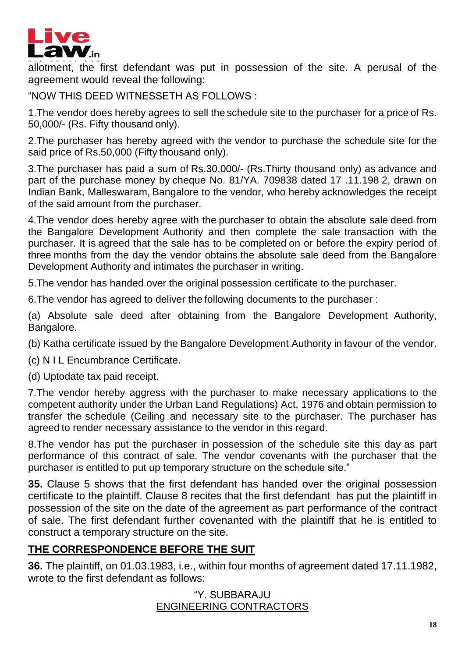

allotment, the first defendant was put in possession of the site. A perusal of the agreement would reveal the following:

"NOW THIS DEED WITNESSETH AS FOLLOWS :

1.The vendor does hereby agrees to sell the schedule site to the purchaser for a price of Rs. 50,000/- (Rs. Fifty thousand only).

2.The purchaser has hereby agreed with the vendor to purchase the schedule site for the said price of Rs.50,000 (Fifty thousand only).

3.The purchaser has paid a sum of Rs.30,000/- (Rs.Thirty thousand only) as advance and part of the purchase money by cheque No. 81/YA. 709838 dated 17 .11.198 2, drawn on Indian Bank, Malleswaram, Bangalore to the vendor, who hereby acknowledges the receipt of the said amount from the purchaser.

4.The vendor does hereby agree with the purchaser to obtain the absolute sale deed from the Bangalore Development Authority and then complete the sale transaction with the purchaser. It is agreed that the sale has to be completed on or before the expiry period of three months from the day the vendor obtains the absolute sale deed from the Bangalore Development Authority and intimates the purchaser in writing.

5.The vendor has handed over the original possession certificate to the purchaser.

6.The vendor has agreed to deliver the following documents to the purchaser :

(a) Absolute sale deed after obtaining from the Bangalore Development Authority, Bangalore.

(b) Katha certificate issued by the Bangalore Development Authority in favour of the vendor.

(c) N I L Encumbrance Certificate.

(d) Uptodate tax paid receipt.

7.The vendor hereby aggress with the purchaser to make necessary applications to the competent authority under the Urban Land Regulations) Act, 1976 and obtain permission to transfer the schedule (Ceiling and necessary site to the purchaser. The purchaser has agreed to render necessary assistance to the vendor in this regard.

8.The vendor has put the purchaser in possession of the schedule site this day as part performance of this contract of sale. The vendor covenants with the purchaser that the purchaser is entitled to put up temporary structure on the schedule site."

**35.** Clause 5 shows that the first defendant has handed over the original possession certificate to the plaintiff. Clause 8 recites that the first defendant has put the plaintiff in possession of the site on the date of the agreement as part performance of the contract of sale. The first defendant further covenanted with the plaintiff that he is entitled to construct a temporary structure on the site.

# **THE CORRESPONDENCE BEFORE THE SUIT**

**36.** The plaintiff, on 01.03.1983, i.e., within four months of agreement dated 17.11.1982, wrote to the first defendant as follows:

> "Y. SUBBARAJU ENGINEERING CONTRACTORS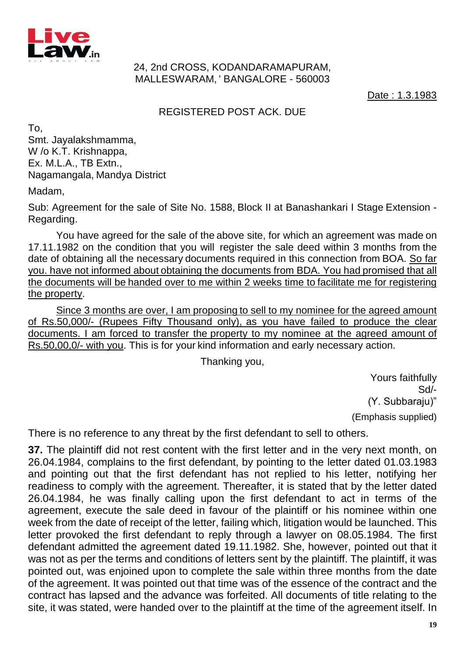

#### 24, 2nd CROSS, KODANDARAMAPURAM, MALLESWARAM, ' BANGALORE - 560003

Date : 1.3.1983

#### REGISTERED POST ACK. DUE

To, Smt. Jayalakshmamma, W /o K.T. Krishnappa, Ex. M.L.A., TB Extn., Nagamangala, Mandya District

Madam,

Sub: Agreement for the sale of Site No. 1588, Block II at Banashankari I Stage Extension - Regarding.

You have agreed for the sale of the above site, for which an agreement was made on 17.11.1982 on the condition that you will register the sale deed within 3 months from the date of obtaining all the necessary documents required in this connection from BOA. So far you. have not informed about obtaining the documents from BDA. You had promised that all the documents will be handed over to me within 2 weeks time to facilitate me for registering the property.

Since 3 months are over, I am proposing to sell to my nominee for the agreed amount of Rs.50,000/- (Rupees Fifty Thousand only), as you have failed to produce the clear documents. I am forced to transfer the property to my nominee at the agreed amount of Rs.50,00,0/- with you. This is for your kind information and early necessary action.

Thanking you,

Yours faithfully Sd/- (Y. Subbaraju)" (Emphasis supplied)

There is no reference to any threat by the first defendant to sell to others.

**37.** The plaintiff did not rest content with the first letter and in the very next month, on 26.04.1984, complains to the first defendant, by pointing to the letter dated 01.03.1983 and pointing out that the first defendant has not replied to his letter, notifying her readiness to comply with the agreement. Thereafter, it is stated that by the letter dated 26.04.1984, he was finally calling upon the first defendant to act in terms of the agreement, execute the sale deed in favour of the plaintiff or his nominee within one week from the date of receipt of the letter, failing which, litigation would be launched. This letter provoked the first defendant to reply through a lawyer on 08.05.1984. The first defendant admitted the agreement dated 19.11.1982. She, however, pointed out that it was not as per the terms and conditions of letters sent by the plaintiff. The plaintiff, it was pointed out, was enjoined upon to complete the sale within three months from the date of the agreement. It was pointed out that time was of the essence of the contract and the contract has lapsed and the advance was forfeited. All documents of title relating to the site, it was stated, were handed over to the plaintiff at the time of the agreement itself. In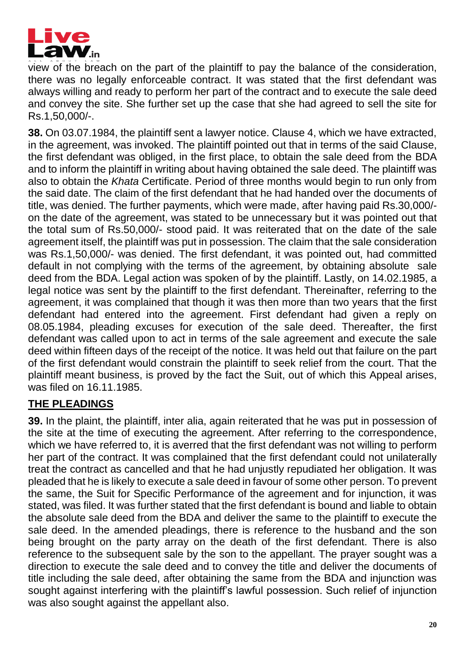

view of the breach on the part of the plaintiff to pay the balance of the consideration, there was no legally enforceable contract. It was stated that the first defendant was always willing and ready to perform her part of the contract and to execute the sale deed and convey the site. She further set up the case that she had agreed to sell the site for Rs.1,50,000/-.

**38.** On 03.07.1984, the plaintiff sent a lawyer notice. Clause 4, which we have extracted, in the agreement, was invoked. The plaintiff pointed out that in terms of the said Clause, the first defendant was obliged, in the first place, to obtain the sale deed from the BDA and to inform the plaintiff in writing about having obtained the sale deed. The plaintiff was also to obtain the *Khata* Certificate. Period of three months would begin to run only from the said date. The claim of the first defendant that he had handed over the documents of title, was denied. The further payments, which were made, after having paid Rs.30,000/ on the date of the agreement, was stated to be unnecessary but it was pointed out that the total sum of Rs.50,000/- stood paid. It was reiterated that on the date of the sale agreement itself, the plaintiff was put in possession. The claim that the sale consideration was Rs.1,50,000/- was denied. The first defendant, it was pointed out, had committed default in not complying with the terms of the agreement, by obtaining absolute sale deed from the BDA. Legal action was spoken of by the plaintiff. Lastly, on 14.02.1985, a legal notice was sent by the plaintiff to the first defendant. Thereinafter, referring to the agreement, it was complained that though it was then more than two years that the first defendant had entered into the agreement. First defendant had given a reply on 08.05.1984, pleading excuses for execution of the sale deed. Thereafter, the first defendant was called upon to act in terms of the sale agreement and execute the sale deed within fifteen days of the receipt of the notice. It was held out that failure on the part of the first defendant would constrain the plaintiff to seek relief from the court. That the plaintiff meant business, is proved by the fact the Suit, out of which this Appeal arises, was filed on 16.11.1985.

### **THE PLEADINGS**

**39.** In the plaint, the plaintiff, inter alia, again reiterated that he was put in possession of the site at the time of executing the agreement. After referring to the correspondence, which we have referred to, it is averred that the first defendant was not willing to perform her part of the contract. It was complained that the first defendant could not unilaterally treat the contract as cancelled and that he had unjustly repudiated her obligation. It was pleaded that he is likely to execute a sale deed in favour of some other person. To prevent the same, the Suit for Specific Performance of the agreement and for injunction, it was stated, was filed. It was further stated that the first defendant is bound and liable to obtain the absolute sale deed from the BDA and deliver the same to the plaintiff to execute the sale deed. In the amended pleadings, there is reference to the husband and the son being brought on the party array on the death of the first defendant. There is also reference to the subsequent sale by the son to the appellant. The prayer sought was a direction to execute the sale deed and to convey the title and deliver the documents of title including the sale deed, after obtaining the same from the BDA and injunction was sought against interfering with the plaintiff's lawful possession. Such relief of injunction was also sought against the appellant also.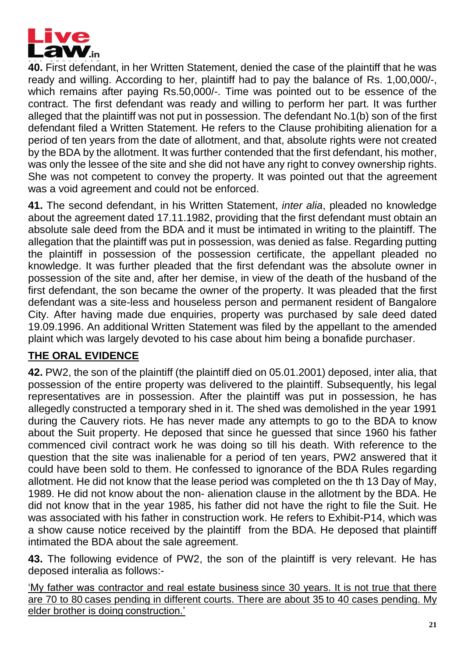

**40.** First defendant, in her Written Statement, denied the case of the plaintiff that he was ready and willing. According to her, plaintiff had to pay the balance of Rs. 1,00,000/-, which remains after paying Rs.50,000/-. Time was pointed out to be essence of the contract. The first defendant was ready and willing to perform her part. It was further alleged that the plaintiff was not put in possession. The defendant No.1(b) son of the first defendant filed a Written Statement. He refers to the Clause prohibiting alienation for a period of ten years from the date of allotment, and that, absolute rights were not created by the BDA by the allotment. It was further contended that the first defendant, his mother, was only the lessee of the site and she did not have any right to convey ownership rights. She was not competent to convey the property. It was pointed out that the agreement was a void agreement and could not be enforced.

**41.** The second defendant, in his Written Statement, *inter alia*, pleaded no knowledge about the agreement dated 17.11.1982, providing that the first defendant must obtain an absolute sale deed from the BDA and it must be intimated in writing to the plaintiff. The allegation that the plaintiff was put in possession, was denied as false. Regarding putting the plaintiff in possession of the possession certificate, the appellant pleaded no knowledge. It was further pleaded that the first defendant was the absolute owner in possession of the site and, after her demise, in view of the death of the husband of the first defendant, the son became the owner of the property. It was pleaded that the first defendant was a site-less and houseless person and permanent resident of Bangalore City. After having made due enquiries, property was purchased by sale deed dated 19.09.1996. An additional Written Statement was filed by the appellant to the amended plaint which was largely devoted to his case about him being a bonafide purchaser.

# **THE ORAL EVIDENCE**

**42.** PW2, the son of the plaintiff (the plaintiff died on 05.01.2001) deposed, inter alia, that possession of the entire property was delivered to the plaintiff. Subsequently, his legal representatives are in possession. After the plaintiff was put in possession, he has allegedly constructed a temporary shed in it. The shed was demolished in the year 1991 during the Cauvery riots. He has never made any attempts to go to the BDA to know about the Suit property. He deposed that since he guessed that since 1960 his father commenced civil contract work he was doing so till his death. With reference to the question that the site was inalienable for a period of ten years, PW2 answered that it could have been sold to them. He confessed to ignorance of the BDA Rules regarding allotment. He did not know that the lease period was completed on the th 13 Day of May, 1989. He did not know about the non- alienation clause in the allotment by the BDA. He did not know that in the year 1985, his father did not have the right to file the Suit. He was associated with his father in construction work. He refers to Exhibit-P14, which was a show cause notice received by the plaintiff from the BDA. He deposed that plaintiff intimated the BDA about the sale agreement.

**43.** The following evidence of PW2, the son of the plaintiff is very relevant. He has deposed interalia as follows:-

'My father was contractor and real estate business since 30 years. It is not true that there are 70 to 80 cases pending in different courts. There are about 35 to 40 cases pending. My elder brother is doing construction.'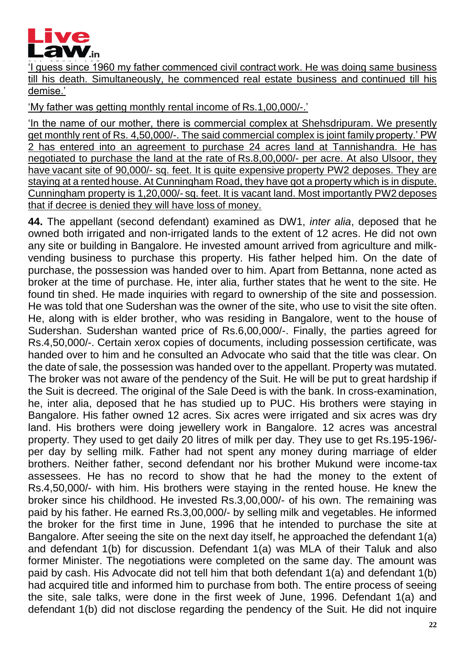

'I guess since 1960 my father commenced civil contract work. He was doing same business till his death. Simultaneously, he commenced real estate business and continued till his demise.'

'My father was getting monthly rental income of Rs.1,00,000/-.'

'In the name of our mother, there is commercial complex at Shehsdripuram. We presently get monthly rent of Rs. 4,50,000/-. The said commercial complex is joint family property.' PW 2 has entered into an agreement to purchase 24 acres land at Tannishandra. He has negotiated to purchase the land at the rate of Rs.8,00,000/- per acre. At also Ulsoor, they have vacant site of 90,000/- sq. feet. It is quite expensive property PW2 deposes. They are staying at a rented house. At Cunningham Road, they have got a property which is in dispute. Cunningham property is 1,20,000/- sq. feet. It is vacant land. Most importantly PW2 deposes that if decree is denied they will have loss of money.

**44.** The appellant (second defendant) examined as DW1, *inter alia*, deposed that he owned both irrigated and non-irrigated lands to the extent of 12 acres. He did not own any site or building in Bangalore. He invested amount arrived from agriculture and milkvending business to purchase this property. His father helped him. On the date of purchase, the possession was handed over to him. Apart from Bettanna, none acted as broker at the time of purchase. He, inter alia, further states that he went to the site. He found tin shed. He made inquiries with regard to ownership of the site and possession. He was told that one Sudershan was the owner of the site, who use to visit the site often. He, along with is elder brother, who was residing in Bangalore, went to the house of Sudershan. Sudershan wanted price of Rs.6,00,000/-. Finally, the parties agreed for Rs.4,50,000/-. Certain xerox copies of documents, including possession certificate, was handed over to him and he consulted an Advocate who said that the title was clear. On the date of sale, the possession was handed over to the appellant. Property was mutated. The broker was not aware of the pendency of the Suit. He will be put to great hardship if the Suit is decreed. The original of the Sale Deed is with the bank. In cross-examination, he, inter alia, deposed that he has studied up to PUC. His brothers were staying in Bangalore. His father owned 12 acres. Six acres were irrigated and six acres was dry land. His brothers were doing jewellery work in Bangalore. 12 acres was ancestral property. They used to get daily 20 litres of milk per day. They use to get Rs.195-196/ per day by selling milk. Father had not spent any money during marriage of elder brothers. Neither father, second defendant nor his brother Mukund were income-tax assessees. He has no record to show that he had the money to the extent of Rs.4,50,000/- with him. His brothers were staying in the rented house. He knew the broker since his childhood. He invested Rs.3,00,000/- of his own. The remaining was paid by his father. He earned Rs.3,00,000/- by selling milk and vegetables. He informed the broker for the first time in June, 1996 that he intended to purchase the site at Bangalore. After seeing the site on the next day itself, he approached the defendant 1(a) and defendant 1(b) for discussion. Defendant 1(a) was MLA of their Taluk and also former Minister. The negotiations were completed on the same day. The amount was paid by cash. His Advocate did not tell him that both defendant 1(a) and defendant 1(b) had acquired title and informed him to purchase from both. The entire process of seeing the site, sale talks, were done in the first week of June, 1996. Defendant 1(a) and defendant 1(b) did not disclose regarding the pendency of the Suit. He did not inquire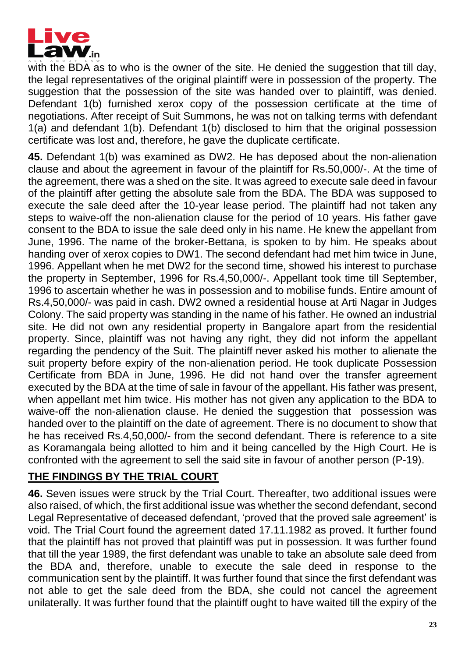

with the BDA as to who is the owner of the site. He denied the suggestion that till day, the legal representatives of the original plaintiff were in possession of the property. The suggestion that the possession of the site was handed over to plaintiff, was denied. Defendant 1(b) furnished xerox copy of the possession certificate at the time of negotiations. After receipt of Suit Summons, he was not on talking terms with defendant 1(a) and defendant 1(b). Defendant 1(b) disclosed to him that the original possession certificate was lost and, therefore, he gave the duplicate certificate.

**45.** Defendant 1(b) was examined as DW2. He has deposed about the non-alienation clause and about the agreement in favour of the plaintiff for Rs.50,000/-. At the time of the agreement, there was a shed on the site. It was agreed to execute sale deed in favour of the plaintiff after getting the absolute sale from the BDA. The BDA was supposed to execute the sale deed after the 10-year lease period. The plaintiff had not taken any steps to waive-off the non-alienation clause for the period of 10 years. His father gave consent to the BDA to issue the sale deed only in his name. He knew the appellant from June, 1996. The name of the broker-Bettana, is spoken to by him. He speaks about handing over of xerox copies to DW1. The second defendant had met him twice in June, 1996. Appellant when he met DW2 for the second time, showed his interest to purchase the property in September, 1996 for Rs.4,50,000/-. Appellant took time till September, 1996 to ascertain whether he was in possession and to mobilise funds. Entire amount of Rs.4,50,000/- was paid in cash. DW2 owned a residential house at Arti Nagar in Judges Colony. The said property was standing in the name of his father. He owned an industrial site. He did not own any residential property in Bangalore apart from the residential property. Since, plaintiff was not having any right, they did not inform the appellant regarding the pendency of the Suit. The plaintiff never asked his mother to alienate the suit property before expiry of the non-alienation period. He took duplicate Possession Certificate from BDA in June, 1996. He did not hand over the transfer agreement executed by the BDA at the time of sale in favour of the appellant. His father was present, when appellant met him twice. His mother has not given any application to the BDA to waive-off the non-alienation clause. He denied the suggestion that possession was handed over to the plaintiff on the date of agreement. There is no document to show that he has received Rs.4,50,000/- from the second defendant. There is reference to a site as Koramangala being allotted to him and it being cancelled by the High Court. He is confronted with the agreement to sell the said site in favour of another person (P-19).

### **THE FINDINGS BY THE TRIAL COURT**

**46.** Seven issues were struck by the Trial Court. Thereafter, two additional issues were also raised, of which, the first additional issue was whether the second defendant, second Legal Representative of deceased defendant, 'proved that the proved sale agreement' is void. The Trial Court found the agreement dated 17.11.1982 as proved. It further found that the plaintiff has not proved that plaintiff was put in possession. It was further found that till the year 1989, the first defendant was unable to take an absolute sale deed from the BDA and, therefore, unable to execute the sale deed in response to the communication sent by the plaintiff. It was further found that since the first defendant was not able to get the sale deed from the BDA, she could not cancel the agreement unilaterally. It was further found that the plaintiff ought to have waited till the expiry of the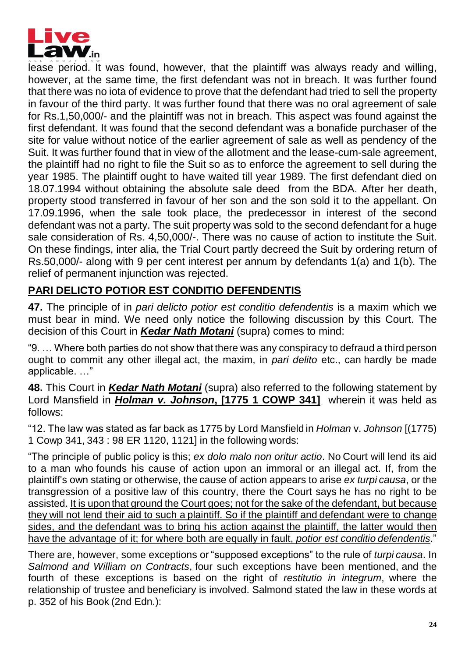

lease period. It was found, however, that the plaintiff was always ready and willing, however, at the same time, the first defendant was not in breach. It was further found that there was no iota of evidence to prove that the defendant had tried to sell the property in favour of the third party. It was further found that there was no oral agreement of sale for Rs.1,50,000/- and the plaintiff was not in breach. This aspect was found against the first defendant. It was found that the second defendant was a bonafide purchaser of the site for value without notice of the earlier agreement of sale as well as pendency of the Suit. It was further found that in view of the allotment and the lease-cum-sale agreement, the plaintiff had no right to file the Suit so as to enforce the agreement to sell during the year 1985. The plaintiff ought to have waited till year 1989. The first defendant died on 18.07.1994 without obtaining the absolute sale deed from the BDA. After her death, property stood transferred in favour of her son and the son sold it to the appellant. On 17.09.1996, when the sale took place, the predecessor in interest of the second defendant was not a party. The suit property was sold to the second defendant for a huge sale consideration of Rs. 4,50,000/-. There was no cause of action to institute the Suit. On these findings, inter alia, the Trial Court partly decreed the Suit by ordering return of Rs.50,000/- along with 9 per cent interest per annum by defendants 1(a) and 1(b). The relief of permanent injunction was rejected.

# **PARI DELICTO POTIOR EST CONDITIO DEFENDENTIS**

**47.** The principle of in *pari delicto potior est conditio defendentis* is a maxim which we must bear in mind. We need only notice the following discussion by this Court. The decision of this Court in *Kedar Nath Motani* (supra) comes to mind:

"9. … Where both parties do not show that there was any conspiracy to defraud a third person ought to commit any other illegal act, the maxim, in *pari delito* etc., can hardly be made applicable. …"

**48.** This Court in *Kedar Nath Motani* (supra) also referred to the following statement by Lord Mansfield in *Holman v. Johnson***, [1775 1 COWP 341]** wherein it was held as follows:

"12. The law was stated as far back as 1775 by Lord Mansfield in *Holman* v. *Johnson* [(1775) 1 Cowp 341, 343 : 98 ER 1120, 1121] in the following words:

"The principle of public policy is this; *ex dolo malo non oritur actio*. No Court will lend its aid to a man who founds his cause of action upon an immoral or an illegal act. If, from the plaintiff's own stating or otherwise, the cause of action appears to arise *ex turpi causa*, or the transgression of a positive law of this country, there the Court says he has no right to be assisted. It is upon that ground the Court goes; not for the sake of the defendant, but because they will not lend their aid to such a plaintiff. So if the plaintiff and defendant were to change sides, and the defendant was to bring his action against the plaintiff, the latter would then have the advantage of it; for where both are equally in fault, *potior est conditio defendentis*."

There are, however, some exceptions or "supposed exceptions" to the rule of *turpi causa*. In *Salmond and William on Contracts*, four such exceptions have been mentioned, and the fourth of these exceptions is based on the right of *restitutio in integrum*, where the relationship of trustee and beneficiary is involved. Salmond stated the law in these words at p. 352 of his Book (2nd Edn.):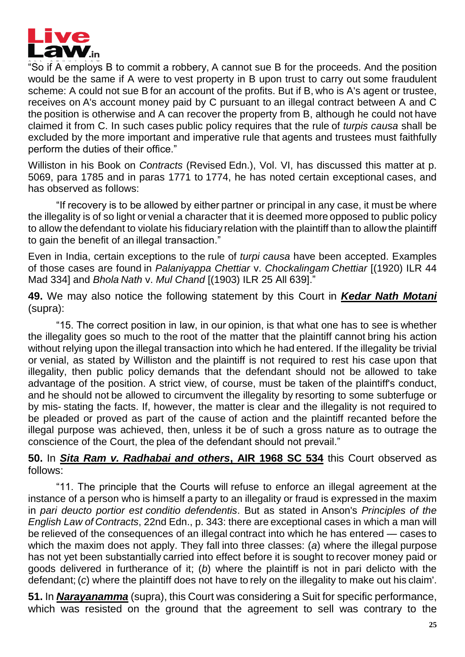

"So if A employs B to commit a robbery, A cannot sue B for the proceeds. And the position would be the same if A were to vest property in B upon trust to carry out some fraudulent scheme: A could not sue B for an account of the profits. But if B, who is A's agent or trustee, receives on A's account money paid by C pursuant to an illegal contract between A and C the position is otherwise and A can recover the property from B, although he could not have claimed it from C. In such cases public policy requires that the rule of *turpis causa* shall be excluded by the more important and imperative rule that agents and trustees must faithfully perform the duties of their office."

Williston in his Book on *Contracts* (Revised Edn.), Vol. VI, has discussed this matter at p. 5069, para 1785 and in paras 1771 to 1774, he has noted certain exceptional cases, and has observed as follows:

"If recovery is to be allowed by either partner or principal in any case, it must be where the illegality is of so light or venial a character that it is deemed more opposed to public policy to allow the defendant to violate his fiduciary relation with the plaintiff than to allow the plaintiff to gain the benefit of an illegal transaction.'

Even in India, certain exceptions to the rule of *turpi causa* have been accepted. Examples of those cases are found in *Palaniyappa Chettiar* v. *Chockalingam Chettiar* [(1920) ILR 44 Mad 334] and *Bhola Nath* v. *Mul Chand* [(1903) ILR 25 All 639]."

**49.** We may also notice the following statement by this Court in *Kedar Nath Motani* (supra):

"15. The correct position in law, in our opinion, is that what one has to see is whether the illegality goes so much to the root of the matter that the plaintiff cannot bring his action without relying upon the illegal transaction into which he had entered. If the illegality be trivial or venial, as stated by Williston and the plaintiff is not required to rest his case upon that illegality, then public policy demands that the defendant should not be allowed to take advantage of the position. A strict view, of course, must be taken of the plaintiff's conduct, and he should not be allowed to circumvent the illegality by resorting to some subterfuge or by mis- stating the facts. If, however, the matter is clear and the illegality is not required to be pleaded or proved as part of the cause of action and the plaintiff recanted before the illegal purpose was achieved, then, unless it be of such a gross nature as to outrage the conscience of the Court, the plea of the defendant should not prevail."

#### **50.** In *Sita Ram v. Radhabai and others***, AIR 1968 SC 534** this Court observed as follows:

"11. The principle that the Courts will refuse to enforce an illegal agreement at the instance of a person who is himself a party to an illegality or fraud is expressed in the maxim in *pari deucto portior est conditio defendentis*. But as stated in Anson's *Principles of the English Law of Contracts*, 22nd Edn., p. 343: there are exceptional cases in which a man will be relieved of the consequences of an illegal contract into which he has entered — cases to which the maxim does not apply. They fall into three classes: (*a*) where the illegal purpose has not yet been substantially carried into effect before it is sought to recover money paid or goods delivered in furtherance of it; (*b*) where the plaintiff is not in pari delicto with the defendant; (*c*) where the plaintiff does not have to rely on the illegality to make out his claim'.

**51.** In *Narayanamma* (supra), this Court was considering a Suit for specific performance, which was resisted on the ground that the agreement to sell was contrary to the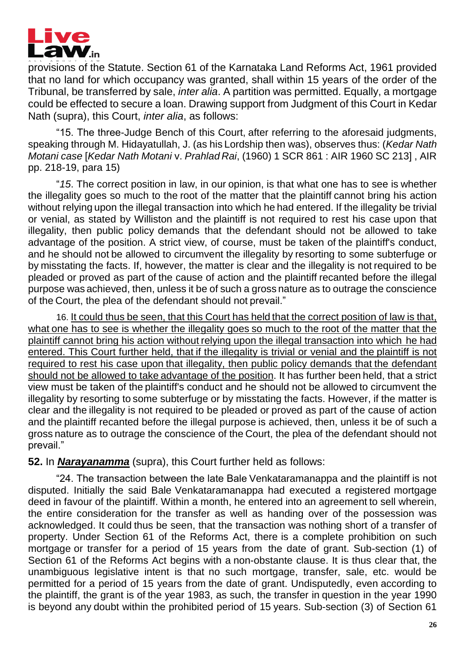

provisions of the Statute. Section 61 of the Karnataka Land Reforms Act, 1961 provided that no land for which occupancy was granted, shall within 15 years of the order of the Tribunal, be transferred by sale, *inter alia*. A partition was permitted. Equally, a mortgage could be effected to secure a loan. Drawing support from Judgment of this Court in Kedar Nath (supra), this Court, *inter alia*, as follows:

"15. The three-Judge Bench of this Court, after referring to the aforesaid judgments, speaking through M. Hidayatullah, J. (as his Lordship then was), observes thus: (*Kedar Nath Motani case* [*Kedar Nath Motani* v. *Prahlad Rai*, (1960) 1 SCR 861 : AIR 1960 SC 213] , AIR pp. 218-19, para 15)

"*15*. The correct position in law, in our opinion, is that what one has to see is whether the illegality goes so much to the root of the matter that the plaintiff cannot bring his action without relying upon the illegal transaction into which he had entered. If the illegality be trivial or venial, as stated by Williston and the plaintiff is not required to rest his case upon that illegality, then public policy demands that the defendant should not be allowed to take advantage of the position. A strict view, of course, must be taken of the plaintiff's conduct, and he should not be allowed to circumvent the illegality by resorting to some subterfuge or by misstating the facts. If, however, the matter is clear and the illegality is not required to be pleaded or proved as part of the cause of action and the plaintiff recanted before the illegal purpose was achieved, then, unless it be of such a gross nature as to outrage the conscience of the Court, the plea of the defendant should not prevail."

16. It could thus be seen, that this Court has held that the correct position of law is that, what one has to see is whether the illegality goes so much to the root of the matter that the plaintiff cannot bring his action without relying upon the illegal transaction into which he had entered. This Court further held, that if the illegality is trivial or venial and the plaintiff is not required to rest his case upon that illegality, then public policy demands that the defendant should not be allowed to take advantage of the position. It has further been held, that a strict view must be taken of the plaintiff's conduct and he should not be allowed to circumvent the illegality by resorting to some subterfuge or by misstating the facts. However, if the matter is clear and the illegality is not required to be pleaded or proved as part of the cause of action and the plaintiff recanted before the illegal purpose is achieved, then, unless it be of such a gross nature as to outrage the conscience of the Court, the plea of the defendant should not prevail."

#### **52.** In *Narayanamma* (supra), this Court further held as follows:

"24. The transaction between the late Bale Venkataramanappa and the plaintiff is not disputed. Initially the said Bale Venkataramanappa had executed a registered mortgage deed in favour of the plaintiff. Within a month, he entered into an agreement to sell wherein, the entire consideration for the transfer as well as handing over of the possession was acknowledged. It could thus be seen, that the transaction was nothing short of a transfer of property. Under Section 61 of the Reforms Act, there is a complete prohibition on such mortgage or transfer for a period of 15 years from the date of grant. Sub-section (1) of Section 61 of the Reforms Act begins with a non-obstante clause. It is thus clear that, the unambiguous legislative intent is that no such mortgage, transfer, sale, etc. would be permitted for a period of 15 years from the date of grant. Undisputedly, even according to the plaintiff, the grant is of the year 1983, as such, the transfer in question in the year 1990 is beyond any doubt within the prohibited period of 15 years. Sub-section (3) of Section 61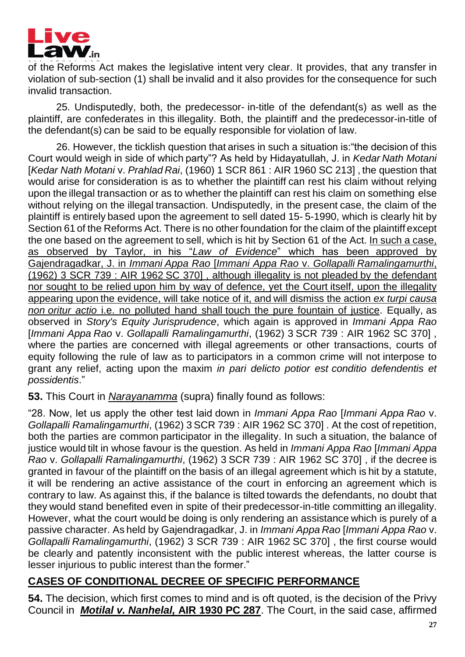

of the Reforms Act makes the legislative intent very clear. It provides, that any transfer in violation of sub-section (1) shall be invalid and it also provides for the consequence for such invalid transaction.

25. Undisputedly, both, the predecessor- in-title of the defendant(s) as well as the plaintiff, are confederates in this illegality. Both, the plaintiff and the predecessor-in-title of the defendant(s) can be said to be equally responsible for violation of law.

26. However, the ticklish question that arises in such a situation is:"the decision of this Court would weigh in side of which party"? As held by Hidayatullah, J. in *Kedar Nath Motani*  [*Kedar Nath Motani* v. *Prahlad Rai*, (1960) 1 SCR 861 : AIR 1960 SC 213] , the question that would arise for consideration is as to whether the plaintiff can rest his claim without relying upon the illegal transaction or as to whether the plaintiff can rest his claim on something else without relying on the illegal transaction. Undisputedly, in the present case, the claim of the plaintiff is entirely based upon the agreement to sell dated 15- 5-1990, which is clearly hit by Section 61 of the Reforms Act. There is no other foundation for the claim of the plaintiff except the one based on the agreement to sell, which is hit by Section 61 of the Act. In such a case, as observed by Taylor, in his "*Law of Evidence*" which has been approved by Gajendragadkar, J. in *Immani Appa Rao* [*Immani Appa Rao* v. *Gollapalli Ramalingamurthi*, (1962) 3 SCR 739 : AIR 1962 SC 370] , although illegality is not pleaded by the defendant nor sought to be relied upon him by way of defence, yet the Court itself, upon the illegality appearing upon the evidence, will take notice of it, and will dismiss the action *ex turpi causa non oritur actio* i.e. no polluted hand shall touch the pure fountain of justice. Equally, as observed in *Story's Equity Jurisprudence*, which again is approved in *Immani Appa Rao*  [*Immani Appa Rao* v. *Gollapalli Ramalingamurthi*, (1962) 3 SCR 739 : AIR 1962 SC 370] , where the parties are concerned with illegal agreements or other transactions, courts of equity following the rule of law as to participators in a common crime will not interpose to grant any relief, acting upon the maxim *in pari delicto potior est conditio defendentis et possidentis*."

**53.** This Court in *Narayanamma* (supra) finally found as follows:

"28. Now, let us apply the other test laid down in *Immani Appa Rao* [*Immani Appa Rao* v. *Gollapalli Ramalingamurthi*, (1962) 3 SCR 739 : AIR 1962 SC 370] . At the cost of repetition, both the parties are common participator in the illegality. In such a situation, the balance of justice would tilt in whose favour is the question. As held in *Immani Appa Rao* [*Immani Appa Rao* v. *Gollapalli Ramalingamurthi*, (1962) 3 SCR 739 : AIR 1962 SC 370] , if the decree is granted in favour of the plaintiff on the basis of an illegal agreement which is hit by a statute, it will be rendering an active assistance of the court in enforcing an agreement which is contrary to law. As against this, if the balance is tilted towards the defendants, no doubt that they would stand benefited even in spite of their predecessor-in-title committing an illegality. However, what the court would be doing is only rendering an assistance which is purely of a passive character. As held by Gajendragadkar, J. in *Immani Appa Rao* [*Immani Appa Rao* v. *Gollapalli Ramalingamurthi*, (1962) 3 SCR 739 : AIR 1962 SC 370] , the first course would be clearly and patently inconsistent with the public interest whereas, the latter course is lesser injurious to public interest than the former."

# **CASES OF CONDITIONAL DECREE OF SPECIFIC PERFORMANCE**

**54.** The decision, which first comes to mind and is oft quoted, is the decision of the Privy Council in *Motilal v. Nanhelal,* **AIR 1930 PC 287**. The Court, in the said case, affirmed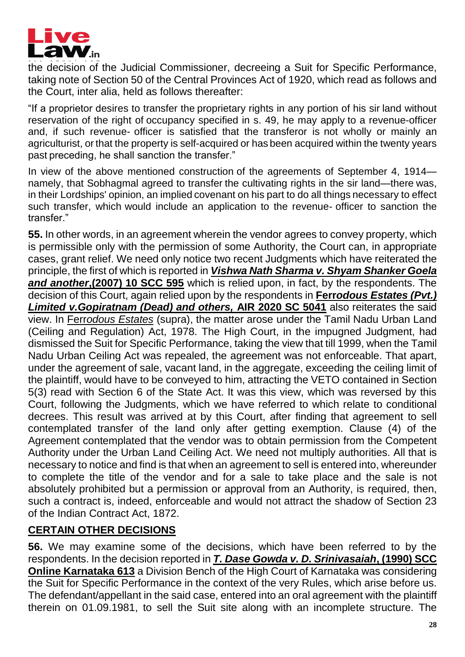

the decision of the Judicial Commissioner, decreeing a Suit for Specific Performance, taking note of Section 50 of the Central Provinces Act of 1920, which read as follows and the Court, inter alia, held as follows thereafter:

"If a proprietor desires to transfer the proprietary rights in any portion of his sir land without reservation of the right of occupancy specified in s. 49, he may apply to a revenue-officer and, if such revenue- officer is satisfied that the transferor is not wholly or mainly an agriculturist, orthat the property is self-acquired or has been acquired within the twenty years past preceding, he shall sanction the transfer."

In view of the above mentioned construction of the agreements of September 4, 1914 namely, that Sobhagmal agreed to transfer the cultivating rights in the sir land—there was, in their Lordships' opinion, an implied covenant on his part to do all things necessary to effect such transfer, which would include an application to the revenue- officer to sanction the transfer."

**55.** In other words, in an agreement wherein the vendor agrees to convey property, which is permissible only with the permission of some Authority, the Court can, in appropriate cases, grant relief. We need only notice two recent Judgments which have reiterated the principle, the first of which is reported in *Vishwa Nath Sharma v. Shyam Shanker Goela and another***,(2007) 10 SCC 595** which is relied upon, in fact, by the respondents. The decision of this Court, again relied upon by the respondents in **Ferr***odous Estates (Pvt.) Limited v.Gopiratnam (Dead) and others,* **AIR 2020 SC 5041** also reiterates the said view. In Ferr*odous Estates* (supra), the matter arose under the Tamil Nadu Urban Land (Ceiling and Regulation) Act, 1978. The High Court, in the impugned Judgment, had dismissed the Suit for Specific Performance, taking the view that till 1999, when the Tamil Nadu Urban Ceiling Act was repealed, the agreement was not enforceable. That apart, under the agreement of sale, vacant land, in the aggregate, exceeding the ceiling limit of the plaintiff, would have to be conveyed to him, attracting the VETO contained in Section 5(3) read with Section 6 of the State Act. It was this view, which was reversed by this Court, following the Judgments, which we have referred to which relate to conditional decrees. This result was arrived at by this Court, after finding that agreement to sell contemplated transfer of the land only after getting exemption. Clause (4) of the Agreement contemplated that the vendor was to obtain permission from the Competent Authority under the Urban Land Ceiling Act. We need not multiply authorities. All that is necessary to notice and find is that when an agreement to sell is entered into, whereunder to complete the title of the vendor and for a sale to take place and the sale is not absolutely prohibited but a permission or approval from an Authority, is required, then, such a contract is, indeed, enforceable and would not attract the shadow of Section 23 of the Indian Contract Act, 1872.

### **CERTAIN OTHER DECISIONS**

**56.** We may examine some of the decisions, which have been referred to by the respondents. In the decision reported in *T. Dase Gowda v. D. Srinivasaiah***, (1990) SCC Online Karnataka 613** a Division Bench of the High Court of Karnataka was considering the Suit for Specific Performance in the context of the very Rules, which arise before us. The defendant/appellant in the said case, entered into an oral agreement with the plaintiff therein on 01.09.1981, to sell the Suit site along with an incomplete structure. The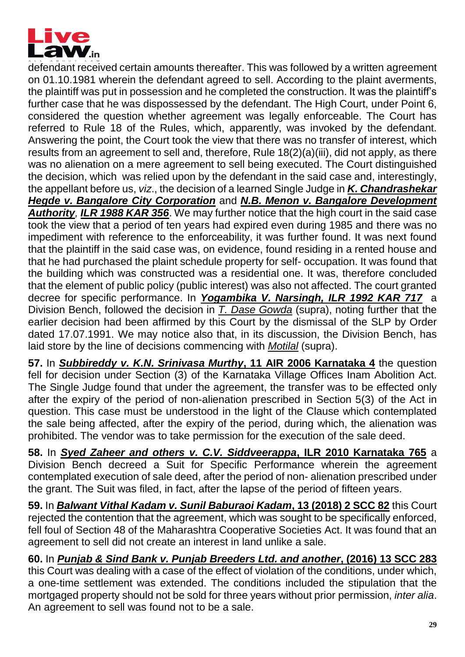

defendant received certain amounts thereafter. This was followed by a written agreement on 01.10.1981 wherein the defendant agreed to sell. According to the plaint averments, the plaintiff was put in possession and he completed the construction. It was the plaintiff's further case that he was dispossessed by the defendant. The High Court, under Point 6, considered the question whether agreement was legally enforceable. The Court has referred to Rule 18 of the Rules, which, apparently, was invoked by the defendant. Answering the point, the Court took the view that there was no transfer of interest, which results from an agreement to sell and, therefore, Rule 18(2)(a)(iii), did not apply, as there was no alienation on a mere agreement to sell being executed. The Court distinguished the decision, which was relied upon by the defendant in the said case and, interestingly, the appellant before us, *viz*., the decision of a learned Single Judge in *K. Chandrashekar Hegde v. Bangalore City Corporation* and *N.B. Menon v. Bangalore Development Authority, ILR 1988 KAR 356*. We may further notice that the high court in the said case took the view that a period of ten years had expired even during 1985 and there was no impediment with reference to the enforceability, it was further found. It was next found that the plaintiff in the said case was, on evidence, found residing in a rented house and that he had purchased the plaint schedule property for self- occupation. It was found that the building which was constructed was a residential one. It was, therefore concluded that the element of public policy (public interest) was also not affected. The court granted decree for specific performance. In *Yogambika V. Narsingh, ILR 1992 KAR 717* a Division Bench, followed the decision in *T. Dase Gowda* (supra), noting further that the earlier decision had been affirmed by this Court by the dismissal of the SLP by Order dated 17.07.1991. We may notice also that, in its discussion, the Division Bench, has laid store by the line of decisions commencing with *Motilal* (supra).

**57.** In *Subbireddy v. K.N. Srinivasa Murthy***, 11 AIR 2006 Karnataka 4** the question fell for decision under Section (3) of the Karnataka Village Offices Inam Abolition Act. The Single Judge found that under the agreement, the transfer was to be effected only after the expiry of the period of non-alienation prescribed in Section 5(3) of the Act in question. This case must be understood in the light of the Clause which contemplated the sale being affected, after the expiry of the period, during which, the alienation was prohibited. The vendor was to take permission for the execution of the sale deed.

**58.** In *Syed Zaheer and others v. C.V. Siddveerappa***, ILR 2010 Karnataka 765** a Division Bench decreed a Suit for Specific Performance wherein the agreement contemplated execution of sale deed, after the period of non- alienation prescribed under the grant. The Suit was filed, in fact, after the lapse of the period of fifteen years.

**59.** In *Balwant Vithal Kadam v. Sunil Baburaoi Kadam***, 13 (2018) 2 SCC 82** this Court rejected the contention that the agreement, which was sought to be specifically enforced, fell foul of Section 48 of the Maharashtra Cooperative Societies Act. It was found that an agreement to sell did not create an interest in land unlike a sale.

**60.** In *Punjab & Sind Bank v. Punjab Breeders Ltd. and another***, (2016) 13 SCC 283** this Court was dealing with a case of the effect of violation of the conditions, under which, a one-time settlement was extended. The conditions included the stipulation that the mortgaged property should not be sold for three years without prior permission, *inter alia*. An agreement to sell was found not to be a sale.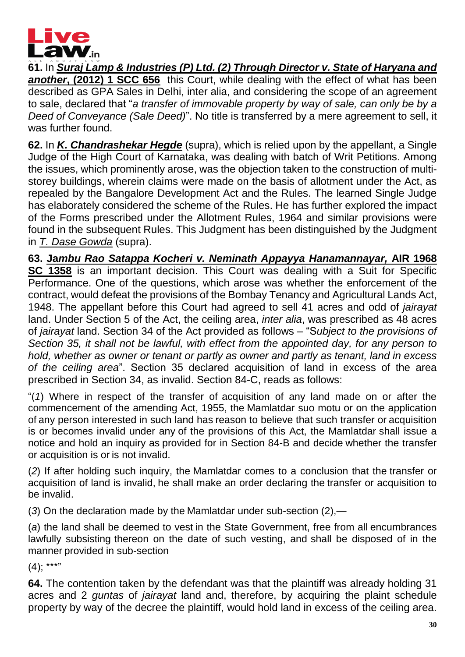

**61.** In *Suraj Lamp & Industries (P) Ltd. (2) Through Director v. State of Haryana and another***, (2012) 1 SCC 656** this Court, while dealing with the effect of what has been described as GPA Sales in Delhi, inter alia, and considering the scope of an agreement to sale, declared that "*a transfer of immovable property by way of sale, can only be by a Deed of Conveyance (Sale Deed)*". No title is transferred by a mere agreement to sell, it was further found.

**62.** In *K. Chandrashekar Hegde* (supra), which is relied upon by the appellant, a Single Judge of the High Court of Karnataka, was dealing with batch of Writ Petitions. Among the issues, which prominently arose, was the objection taken to the construction of multistorey buildings, wherein claims were made on the basis of allotment under the Act, as repealed by the Bangalore Development Act and the Rules. The learned Single Judge has elaborately considered the scheme of the Rules. He has further explored the impact of the Forms prescribed under the Allotment Rules, 1964 and similar provisions were found in the subsequent Rules. This Judgment has been distinguished by the Judgment in *T. Dase Gowda* (supra).

**63. Ja***mbu Rao Satappa Kocheri v. Neminath Appayya Hanamannayar,* **AIR 1968 SC 1358** is an important decision. This Court was dealing with a Suit for Specific Performance. One of the questions, which arose was whether the enforcement of the contract, would defeat the provisions of the Bombay Tenancy and Agricultural Lands Act, 1948. The appellant before this Court had agreed to sell 41 acres and odd of *jairayat*  land. Under Section 5 of the Act, the ceiling area, *inter alia*, was prescribed as 48 acres of *jairayat* land. Section 34 of the Act provided as follows – "S*ubject to the provisions of Section 35, it shall not be lawful, with effect from the appointed day, for any person to hold, whether as owner or tenant or partly as owner and partly as tenant, land in excess of the ceiling area*". Section 35 declared acquisition of land in excess of the area prescribed in Section 34, as invalid. Section 84-C, reads as follows:

"(*1*) Where in respect of the transfer of acquisition of any land made on or after the commencement of the amending Act, 1955, the Mamlatdar suo motu or on the application of any person interested in such land has reason to believe that such transfer or acquisition is or becomes invalid under any of the provisions of this Act, the Mamlatdar shall issue a notice and hold an inquiry as provided for in Section 84-B and decide whether the transfer or acquisition is or is not invalid.

(*2*) If after holding such inquiry, the Mamlatdar comes to a conclusion that the transfer or acquisition of land is invalid, he shall make an order declaring the transfer or acquisition to be invalid.

(*3*) On the declaration made by the Mamlatdar under sub-section (2),—

(*a*) the land shall be deemed to vest in the State Government, free from all encumbrances lawfully subsisting thereon on the date of such vesting, and shall be disposed of in the manner provided in sub-section

 $(4)$ ; \*\*\*"

**64.** The contention taken by the defendant was that the plaintiff was already holding 31 acres and 2 *guntas* of *jairayat* land and, therefore, by acquiring the plaint schedule property by way of the decree the plaintiff, would hold land in excess of the ceiling area.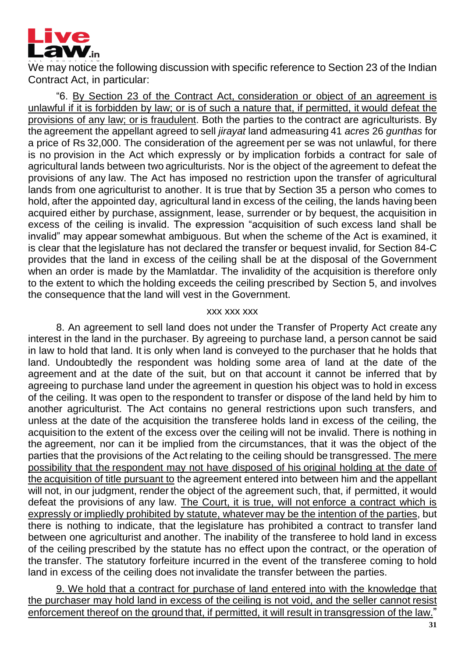

We may notice the following discussion with specific reference to Section 23 of the Indian Contract Act, in particular:

"6. By Section 23 of the Contract Act, consideration or object of an agreement is unlawful if it is forbidden by law; or is of such a nature that, if permitted, it would defeat the provisions of any law; or is fraudulent. Both the parties to the contract are agriculturists. By the agreement the appellant agreed to sell *jirayat* land admeasuring 41 *acres* 26 *gunthas* for a price of Rs 32,000. The consideration of the agreement per se was not unlawful, for there is no provision in the Act which expressly or by implication forbids a contract for sale of agricultural lands between two agriculturists. Nor is the object of the agreement to defeat the provisions of any law. The Act has imposed no restriction upon the transfer of agricultural lands from one agriculturist to another. It is true that by Section 35 a person who comes to hold, after the appointed day, agricultural land in excess of the ceiling, the lands having been acquired either by purchase, assignment, lease, surrender or by bequest, the acquisition in excess of the ceiling is invalid. The expression "acquisition of such excess land shall be invalid" may appear somewhat ambiguous. But when the scheme of the Act is examined, it is clear that the legislature has not declared the transfer or bequest invalid, for Section 84-C provides that the land in excess of the ceiling shall be at the disposal of the Government when an order is made by the Mamlatdar. The invalidity of the acquisition is therefore only to the extent to which the holding exceeds the ceiling prescribed by Section 5, and involves the consequence that the land will vest in the Government.

#### xxx xxx xxx

8. An agreement to sell land does not under the Transfer of Property Act create any interest in the land in the purchaser. By agreeing to purchase land, a person cannot be said in law to hold that land. It is only when land is conveyed to the purchaser that he holds that land. Undoubtedly the respondent was holding some area of land at the date of the agreement and at the date of the suit, but on that account it cannot be inferred that by agreeing to purchase land under the agreement in question his object was to hold in excess of the ceiling. It was open to the respondent to transfer or dispose of the land held by him to another agriculturist. The Act contains no general restrictions upon such transfers, and unless at the date of the acquisition the transferee holds land in excess of the ceiling, the acquisition to the extent of the excess over the ceiling will not be invalid. There is nothing in the agreement, nor can it be implied from the circumstances, that it was the object of the parties that the provisions of the Act relating to the ceiling should be transgressed. The mere possibility that the respondent may not have disposed of his original holding at the date of the acquisition of title pursuant to the agreement entered into between him and the appellant will not, in our judgment, render the object of the agreement such, that, if permitted, it would defeat the provisions of any law. The Court, it is true, will not enforce a contract which is expressly or impliedly prohibited by statute, whatever may be the intention of the parties, but there is nothing to indicate, that the legislature has prohibited a contract to transfer land between one agriculturist and another. The inability of the transferee to hold land in excess of the ceiling prescribed by the statute has no effect upon the contract, or the operation of the transfer. The statutory forfeiture incurred in the event of the transferee coming to hold land in excess of the ceiling does not invalidate the transfer between the parties.

9. We hold that a contract for purchase of land entered into with the knowledge that the purchaser may hold land in excess of the ceiling is not void, and the seller cannot resist enforcement thereof on the ground that, if permitted, it will result in transgression of the law."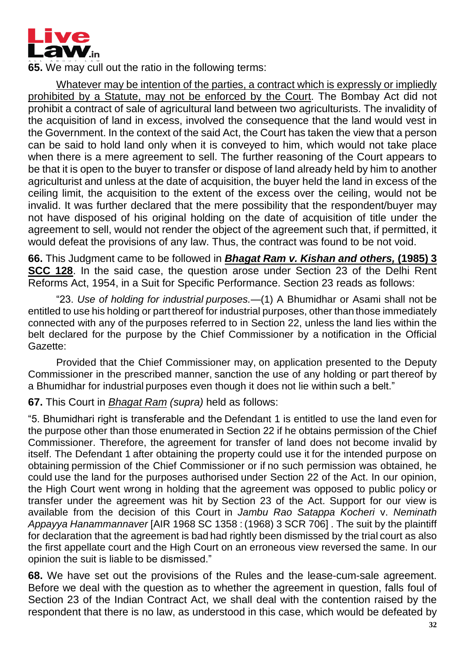

**65.** We may cull out the ratio in the following terms:

Whatever may be intention of the parties, a contract which is expressly or impliedly prohibited by a Statute, may not be enforced by the Court. The Bombay Act did not prohibit a contract of sale of agricultural land between two agriculturists. The invalidity of the acquisition of land in excess, involved the consequence that the land would vest in the Government. In the context of the said Act, the Court has taken the view that a person can be said to hold land only when it is conveyed to him, which would not take place when there is a mere agreement to sell. The further reasoning of the Court appears to be that it is open to the buyer to transfer or dispose of land already held by him to another agriculturist and unless at the date of acquisition, the buyer held the land in excess of the ceiling limit, the acquisition to the extent of the excess over the ceiling, would not be invalid. It was further declared that the mere possibility that the respondent/buyer may not have disposed of his original holding on the date of acquisition of title under the agreement to sell, would not render the object of the agreement such that, if permitted, it would defeat the provisions of any law. Thus, the contract was found to be not void.

**66.** This Judgment came to be followed in *Bhagat Ram v. Kishan and others,* **(1985) 3 SCC 128**. In the said case, the question arose under Section 23 of the Delhi Rent Reforms Act, 1954, in a Suit for Specific Performance. Section 23 reads as follows:

"23. *Use of holding for industrial purposes.—*(1) A Bhumidhar or Asami shall not be entitled to use his holding or part thereof for industrial purposes, other than those immediately connected with any of the purposes referred to in Section 22, unless the land lies within the belt declared for the purpose by the Chief Commissioner by a notification in the Official Gazette:

Provided that the Chief Commissioner may, on application presented to the Deputy Commissioner in the prescribed manner, sanction the use of any holding or part thereof by a Bhumidhar for industrial purposes even though it does not lie within such a belt."

#### **67.** This Court in *Bhagat Ram (supra)* held as follows:

"5. Bhumidhari right is transferable and the Defendant 1 is entitled to use the land even for the purpose other than those enumerated in Section 22 if he obtains permission of the Chief Commissioner. Therefore, the agreement for transfer of land does not become invalid by itself. The Defendant 1 after obtaining the property could use it for the intended purpose on obtaining permission of the Chief Commissioner or if no such permission was obtained, he could use the land for the purposes authorised under Section 22 of the Act. In our opinion, the High Court went wrong in holding that the agreement was opposed to public policy or transfer under the agreement was hit by Section 23 of the Act. Support for our view is available from the decision of this Court in *Jambu Rao Satappa Kocheri* v. *Neminath Appayya Hanammannaver* [AIR 1968 SC 1358 : (1968) 3 SCR 706] . The suit by the plaintiff for declaration that the agreement is bad had rightly been dismissed by the trial court as also the first appellate court and the High Court on an erroneous view reversed the same. In our opinion the suit is liable to be dismissed."

**68.** We have set out the provisions of the Rules and the lease-cum-sale agreement. Before we deal with the question as to whether the agreement in question, falls foul of Section 23 of the Indian Contract Act, we shall deal with the contention raised by the respondent that there is no law, as understood in this case, which would be defeated by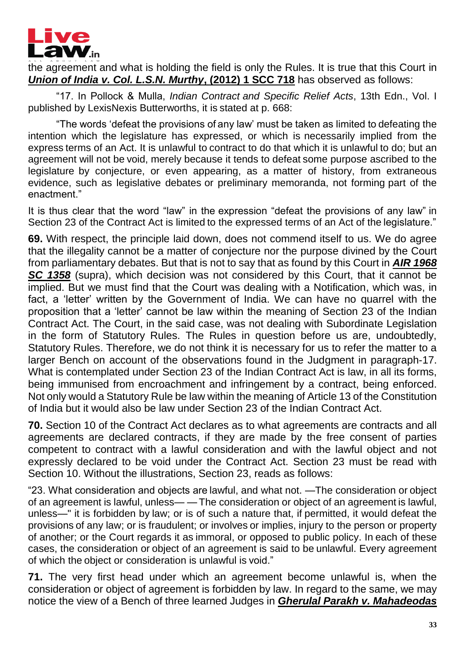

the agreement and what is holding the field is only the Rules. It is true that this Court in *Union of India v. Col. L.S.N. Murthy***, (2012) 1 SCC 718** has observed as follows:

"17. In Pollock & Mulla, *Indian Contract and Specific Relief Acts*, 13th Edn., Vol. I published by LexisNexis Butterworths, it is stated at p. 668:

"The words 'defeat the provisions of any law' must be taken as limited to defeating the intention which the legislature has expressed, or which is necessarily implied from the express terms of an Act. It is unlawful to contract to do that which it is unlawful to do; but an agreement will not be void, merely because it tends to defeat some purpose ascribed to the legislature by conjecture, or even appearing, as a matter of history, from extraneous evidence, such as legislative debates or preliminary memoranda, not forming part of the enactment."

It is thus clear that the word "law" in the expression "defeat the provisions of any law" in Section 23 of the Contract Act is limited to the expressed terms of an Act of the legislature."

**69.** With respect, the principle laid down, does not commend itself to us. We do agree that the illegality cannot be a matter of conjecture nor the purpose divined by the Court from parliamentary debates. But that is not to say that as found by this Court in *AIR 1968 SC 1358* (supra), which decision was not considered by this Court, that it cannot be implied. But we must find that the Court was dealing with a Notification, which was, in fact, a 'letter' written by the Government of India. We can have no quarrel with the proposition that a 'letter' cannot be law within the meaning of Section 23 of the Indian Contract Act. The Court, in the said case, was not dealing with Subordinate Legislation in the form of Statutory Rules. The Rules in question before us are, undoubtedly, Statutory Rules. Therefore, we do not think it is necessary for us to refer the matter to a larger Bench on account of the observations found in the Judgment in paragraph-17. What is contemplated under Section 23 of the Indian Contract Act is law, in all its forms, being immunised from encroachment and infringement by a contract, being enforced. Not only would a Statutory Rule be law within the meaning of Article 13 of the Constitution of India but it would also be law under Section 23 of the Indian Contract Act.

**70.** Section 10 of the Contract Act declares as to what agreements are contracts and all agreements are declared contracts, if they are made by the free consent of parties competent to contract with a lawful consideration and with the lawful object and not expressly declared to be void under the Contract Act. Section 23 must be read with Section 10. Without the illustrations, Section 23, reads as follows:

"23. What consideration and objects are lawful, and what not. —The consideration or object of an agreement is lawful, unless— — The consideration or object of an agreement is lawful, unless—" it is forbidden by law; or is of such a nature that, if permitted, it would defeat the provisions of any law; or is fraudulent; or involves or implies, injury to the person or property of another; or the Court regards it as immoral, or opposed to public policy. In each of these cases, the consideration or object of an agreement is said to be unlawful. Every agreement of which the object or consideration is unlawful is void."

**71.** The very first head under which an agreement become unlawful is, when the consideration or object of agreement is forbidden by law. In regard to the same, we may notice the view of a Bench of three learned Judges in *Gherulal Parakh v. Mahadeodas*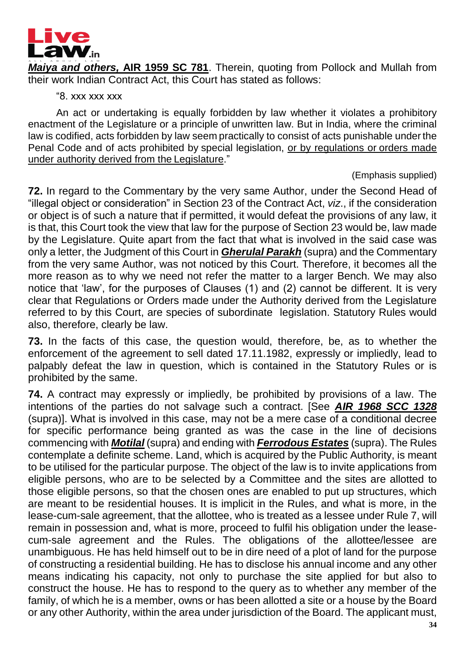

*Maiya and others,* **AIR 1959 SC 781**. Therein, quoting from Pollock and Mullah from their work Indian Contract Act, this Court has stated as follows:

"8. xxx xxx xxx

An act or undertaking is equally forbidden by law whether it violates a prohibitory enactment of the Legislature or a principle of unwritten law. But in India, where the criminal law is codified, acts forbidden by law seem practically to consist of acts punishable under the Penal Code and of acts prohibited by special legislation, or by regulations or orders made under authority derived from the Legislature."

#### (Emphasis supplied)

**72.** In regard to the Commentary by the very same Author, under the Second Head of "illegal object or consideration" in Section 23 of the Contract Act, *viz*., if the consideration or object is of such a nature that if permitted, it would defeat the provisions of any law, it is that, this Court took the view that law for the purpose of Section 23 would be, law made by the Legislature. Quite apart from the fact that what is involved in the said case was only a letter, the Judgment of this Court in *Gherulal Parakh* (supra) and the Commentary from the very same Author, was not noticed by this Court. Therefore, it becomes all the more reason as to why we need not refer the matter to a larger Bench. We may also notice that 'law', for the purposes of Clauses (1) and (2) cannot be different. It is very clear that Regulations or Orders made under the Authority derived from the Legislature referred to by this Court, are species of subordinate legislation. Statutory Rules would also, therefore, clearly be law.

**73.** In the facts of this case, the question would, therefore, be, as to whether the enforcement of the agreement to sell dated 17.11.1982, expressly or impliedly, lead to palpably defeat the law in question, which is contained in the Statutory Rules or is prohibited by the same.

**74.** A contract may expressly or impliedly, be prohibited by provisions of a law. The intentions of the parties do not salvage such a contract. [See *AIR 1968 SCC 1328* (supra)]. What is involved in this case, may not be a mere case of a conditional decree for specific performance being granted as was the case in the line of decisions commencing with *Motilal* (supra) and ending with *Ferrodous Estates* (supra). The Rules contemplate a definite scheme. Land, which is acquired by the Public Authority, is meant to be utilised for the particular purpose. The object of the law is to invite applications from eligible persons, who are to be selected by a Committee and the sites are allotted to those eligible persons, so that the chosen ones are enabled to put up structures, which are meant to be residential houses. It is implicit in the Rules, and what is more, in the lease-cum-sale agreement, that the allottee, who is treated as a lessee under Rule 7, will remain in possession and, what is more, proceed to fulfil his obligation under the leasecum-sale agreement and the Rules. The obligations of the allottee/lessee are unambiguous. He has held himself out to be in dire need of a plot of land for the purpose of constructing a residential building. He has to disclose his annual income and any other means indicating his capacity, not only to purchase the site applied for but also to construct the house. He has to respond to the query as to whether any member of the family, of which he is a member, owns or has been allotted a site or a house by the Board or any other Authority, within the area under jurisdiction of the Board. The applicant must,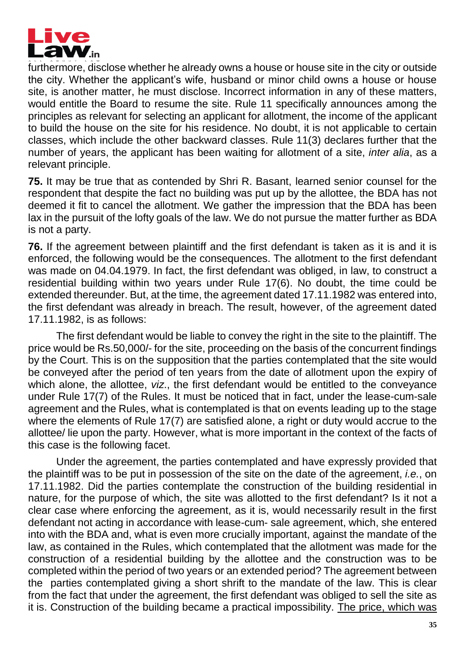

furthermore, disclose whether he already owns a house or house site in the city or outside the city. Whether the applicant's wife, husband or minor child owns a house or house site, is another matter, he must disclose. Incorrect information in any of these matters, would entitle the Board to resume the site. Rule 11 specifically announces among the principles as relevant for selecting an applicant for allotment, the income of the applicant to build the house on the site for his residence. No doubt, it is not applicable to certain classes, which include the other backward classes. Rule 11(3) declares further that the number of years, the applicant has been waiting for allotment of a site, *inter alia*, as a relevant principle.

**75.** It may be true that as contended by Shri R. Basant, learned senior counsel for the respondent that despite the fact no building was put up by the allottee, the BDA has not deemed it fit to cancel the allotment. We gather the impression that the BDA has been lax in the pursuit of the lofty goals of the law. We do not pursue the matter further as BDA is not a party.

**76.** If the agreement between plaintiff and the first defendant is taken as it is and it is enforced, the following would be the consequences. The allotment to the first defendant was made on 04.04.1979. In fact, the first defendant was obliged, in law, to construct a residential building within two years under Rule 17(6). No doubt, the time could be extended thereunder. But, at the time, the agreement dated 17.11.1982 was entered into, the first defendant was already in breach. The result, however, of the agreement dated 17.11.1982, is as follows:

The first defendant would be liable to convey the right in the site to the plaintiff. The price would be Rs.50,000/- for the site, proceeding on the basis of the concurrent findings by the Court. This is on the supposition that the parties contemplated that the site would be conveyed after the period of ten years from the date of allotment upon the expiry of which alone, the allottee, *viz*., the first defendant would be entitled to the conveyance under Rule 17(7) of the Rules. It must be noticed that in fact, under the lease-cum-sale agreement and the Rules, what is contemplated is that on events leading up to the stage where the elements of Rule 17(7) are satisfied alone, a right or duty would accrue to the allottee/ lie upon the party. However, what is more important in the context of the facts of this case is the following facet.

Under the agreement, the parties contemplated and have expressly provided that the plaintiff was to be put in possession of the site on the date of the agreement, *i.e.*, on 17.11.1982. Did the parties contemplate the construction of the building residential in nature, for the purpose of which, the site was allotted to the first defendant? Is it not a clear case where enforcing the agreement, as it is, would necessarily result in the first defendant not acting in accordance with lease-cum- sale agreement, which, she entered into with the BDA and, what is even more crucially important, against the mandate of the law, as contained in the Rules, which contemplated that the allotment was made for the construction of a residential building by the allottee and the construction was to be completed within the period of two years or an extended period? The agreement between the parties contemplated giving a short shrift to the mandate of the law. This is clear from the fact that under the agreement, the first defendant was obliged to sell the site as it is. Construction of the building became a practical impossibility. The price, which was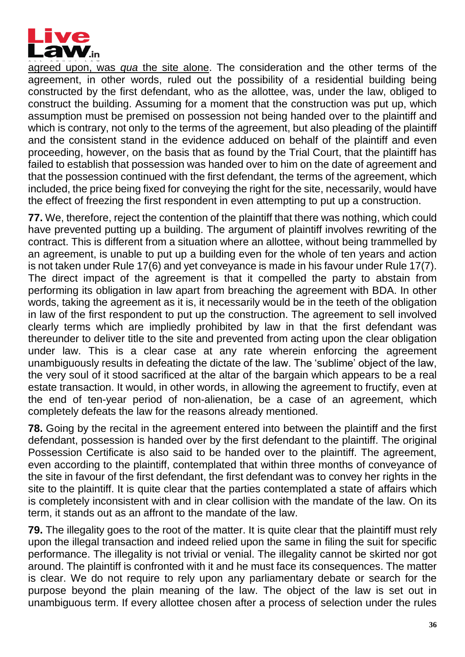

agreed upon, was *qua* the site alone. The consideration and the other terms of the agreement, in other words, ruled out the possibility of a residential building being constructed by the first defendant, who as the allottee, was, under the law, obliged to construct the building. Assuming for a moment that the construction was put up, which assumption must be premised on possession not being handed over to the plaintiff and which is contrary, not only to the terms of the agreement, but also pleading of the plaintiff and the consistent stand in the evidence adduced on behalf of the plaintiff and even proceeding, however, on the basis that as found by the Trial Court, that the plaintiff has failed to establish that possession was handed over to him on the date of agreement and that the possession continued with the first defendant, the terms of the agreement, which included, the price being fixed for conveying the right for the site, necessarily, would have the effect of freezing the first respondent in even attempting to put up a construction.

**77.** We, therefore, reject the contention of the plaintiff that there was nothing, which could have prevented putting up a building. The argument of plaintiff involves rewriting of the contract. This is different from a situation where an allottee, without being trammelled by an agreement, is unable to put up a building even for the whole of ten years and action is not taken under Rule 17(6) and yet conveyance is made in his favour under Rule 17(7). The direct impact of the agreement is that it compelled the party to abstain from performing its obligation in law apart from breaching the agreement with BDA. In other words, taking the agreement as it is, it necessarily would be in the teeth of the obligation in law of the first respondent to put up the construction. The agreement to sell involved clearly terms which are impliedly prohibited by law in that the first defendant was thereunder to deliver title to the site and prevented from acting upon the clear obligation under law. This is a clear case at any rate wherein enforcing the agreement unambiguously results in defeating the dictate of the law. The 'sublime' object of the law, the very soul of it stood sacrificed at the altar of the bargain which appears to be a real estate transaction. It would, in other words, in allowing the agreement to fructify, even at the end of ten-year period of non-alienation, be a case of an agreement, which completely defeats the law for the reasons already mentioned.

**78.** Going by the recital in the agreement entered into between the plaintiff and the first defendant, possession is handed over by the first defendant to the plaintiff. The original Possession Certificate is also said to be handed over to the plaintiff. The agreement, even according to the plaintiff, contemplated that within three months of conveyance of the site in favour of the first defendant, the first defendant was to convey her rights in the site to the plaintiff. It is quite clear that the parties contemplated a state of affairs which is completely inconsistent with and in clear collision with the mandate of the law. On its term, it stands out as an affront to the mandate of the law.

**79.** The illegality goes to the root of the matter. It is quite clear that the plaintiff must rely upon the illegal transaction and indeed relied upon the same in filing the suit for specific performance. The illegality is not trivial or venial. The illegality cannot be skirted nor got around. The plaintiff is confronted with it and he must face its consequences. The matter is clear. We do not require to rely upon any parliamentary debate or search for the purpose beyond the plain meaning of the law. The object of the law is set out in unambiguous term. If every allottee chosen after a process of selection under the rules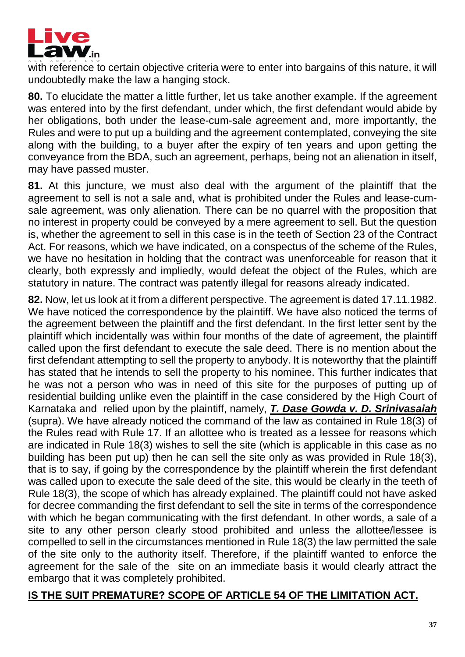

with reference to certain objective criteria were to enter into bargains of this nature, it will undoubtedly make the law a hanging stock.

**80.** To elucidate the matter a little further, let us take another example. If the agreement was entered into by the first defendant, under which, the first defendant would abide by her obligations, both under the lease-cum-sale agreement and, more importantly, the Rules and were to put up a building and the agreement contemplated, conveying the site along with the building, to a buyer after the expiry of ten years and upon getting the conveyance from the BDA, such an agreement, perhaps, being not an alienation in itself, may have passed muster.

**81.** At this juncture, we must also deal with the argument of the plaintiff that the agreement to sell is not a sale and, what is prohibited under the Rules and lease-cumsale agreement, was only alienation. There can be no quarrel with the proposition that no interest in property could be conveyed by a mere agreement to sell. But the question is, whether the agreement to sell in this case is in the teeth of Section 23 of the Contract Act. For reasons, which we have indicated, on a conspectus of the scheme of the Rules, we have no hesitation in holding that the contract was unenforceable for reason that it clearly, both expressly and impliedly, would defeat the object of the Rules, which are statutory in nature. The contract was patently illegal for reasons already indicated.

**82.** Now, let us look at it from a different perspective. The agreement is dated 17.11.1982. We have noticed the correspondence by the plaintiff. We have also noticed the terms of the agreement between the plaintiff and the first defendant. In the first letter sent by the plaintiff which incidentally was within four months of the date of agreement, the plaintiff called upon the first defendant to execute the sale deed. There is no mention about the first defendant attempting to sell the property to anybody. It is noteworthy that the plaintiff has stated that he intends to sell the property to his nominee. This further indicates that he was not a person who was in need of this site for the purposes of putting up of residential building unlike even the plaintiff in the case considered by the High Court of Karnataka and relied upon by the plaintiff, namely, *T. Dase Gowda v. D. Srinivasaiah* (supra). We have already noticed the command of the law as contained in Rule 18(3) of the Rules read with Rule 17. If an allottee who is treated as a lessee for reasons which are indicated in Rule 18(3) wishes to sell the site (which is applicable in this case as no building has been put up) then he can sell the site only as was provided in Rule 18(3), that is to say, if going by the correspondence by the plaintiff wherein the first defendant was called upon to execute the sale deed of the site, this would be clearly in the teeth of Rule 18(3), the scope of which has already explained. The plaintiff could not have asked for decree commanding the first defendant to sell the site in terms of the correspondence with which he began communicating with the first defendant. In other words, a sale of a site to any other person clearly stood prohibited and unless the allottee/lessee is compelled to sell in the circumstances mentioned in Rule 18(3) the law permitted the sale of the site only to the authority itself. Therefore, if the plaintiff wanted to enforce the agreement for the sale of the site on an immediate basis it would clearly attract the embargo that it was completely prohibited.

### **IS THE SUIT PREMATURE? SCOPE OF ARTICLE 54 OF THE LIMITATION ACT.**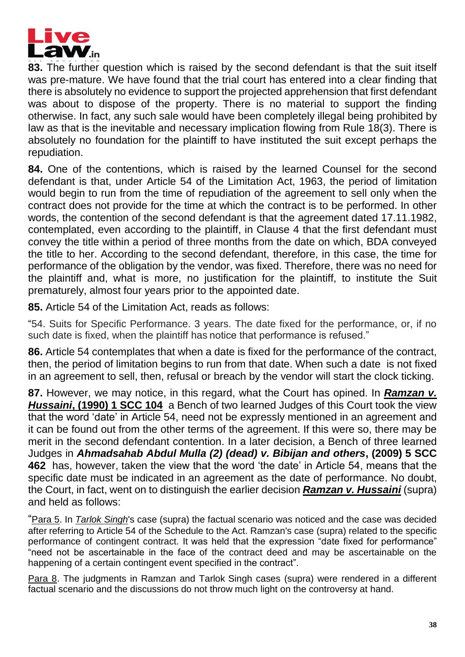

**83.** The further question which is raised by the second defendant is that the suit itself was pre-mature. We have found that the trial court has entered into a clear finding that there is absolutely no evidence to support the projected apprehension that first defendant was about to dispose of the property. There is no material to support the finding otherwise. In fact, any such sale would have been completely illegal being prohibited by law as that is the inevitable and necessary implication flowing from Rule 18(3). There is absolutely no foundation for the plaintiff to have instituted the suit except perhaps the repudiation.

**84.** One of the contentions, which is raised by the learned Counsel for the second defendant is that, under Article 54 of the Limitation Act, 1963, the period of limitation would begin to run from the time of repudiation of the agreement to sell only when the contract does not provide for the time at which the contract is to be performed. In other words, the contention of the second defendant is that the agreement dated 17.11.1982, contemplated, even according to the plaintiff, in Clause 4 that the first defendant must convey the title within a period of three months from the date on which, BDA conveyed the title to her. According to the second defendant, therefore, in this case, the time for performance of the obligation by the vendor, was fixed. Therefore, there was no need for the plaintiff and, what is more, no justification for the plaintiff, to institute the Suit prematurely, almost four years prior to the appointed date.

**85.** Article 54 of the Limitation Act, reads as follows:

"54. Suits for Specific Performance. 3 years. The date fixed for the performance, or, if no such date is fixed, when the plaintiff has notice that performance is refused."

**86.** Article 54 contemplates that when a date is fixed for the performance of the contract, then, the period of limitation begins to run from that date. When such a date is not fixed in an agreement to sell, then, refusal or breach by the vendor will start the clock ticking.

**87.** However, we may notice, in this regard, what the Court has opined. In *Ramzan v. Hussaini***, (1990) 1 SCC 104** a Bench of two learned Judges of this Court took the view that the word 'date' in Article 54, need not be expressly mentioned in an agreement and it can be found out from the other terms of the agreement. If this were so, there may be merit in the second defendant contention. In a later decision, a Bench of three learned Judges in *Ahmadsahab Abdul Mulla (2) (dead) v. Bibijan and others***, (2009) 5 SCC 462** has, however, taken the view that the word 'the date' in Article 54, means that the specific date must be indicated in an agreement as the date of performance. No doubt, the Court, in fact, went on to distinguish the earlier decision *Ramzan v. Hussaini* (supra) and held as follows:

"Para 5. In *Tarlok Singh*'s case (supra) the factual scenario was noticed and the case was decided after referring to Article 54 of the Schedule to the Act. Ramzan's case (supra) related to the specific performance of contingent contract. It was held that the expression "date fixed for performance" "need not be ascertainable in the face of the contract deed and may be ascertainable on the happening of a certain contingent event specified in the contract".

Para 8. The judgments in Ramzan and Tarlok Singh cases (supra) were rendered in a different factual scenario and the discussions do not throw much light on the controversy at hand.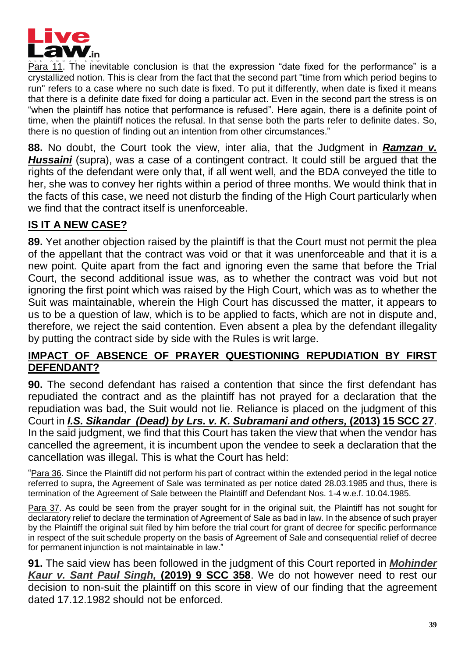

Para 11. The inevitable conclusion is that the expression "date fixed for the performance" is a crystallized notion. This is clear from the fact that the second part "time from which period begins to run" refers to a case where no such date is fixed. To put it differently, when date is fixed it means that there is a definite date fixed for doing a particular act. Even in the second part the stress is on "when the plaintiff has notice that performance is refused". Here again, there is a definite point of time, when the plaintiff notices the refusal. In that sense both the parts refer to definite dates. So, there is no question of finding out an intention from other circumstances."

**88.** No doubt, the Court took the view, inter alia, that the Judgment in *Ramzan v.*  **Hussaini** (supra), was a case of a contingent contract. It could still be argued that the rights of the defendant were only that, if all went well, and the BDA conveyed the title to her, she was to convey her rights within a period of three months. We would think that in the facts of this case, we need not disturb the finding of the High Court particularly when we find that the contract itself is unenforceable.

# **IS IT A NEW CASE?**

**89.** Yet another objection raised by the plaintiff is that the Court must not permit the plea of the appellant that the contract was void or that it was unenforceable and that it is a new point. Quite apart from the fact and ignoring even the same that before the Trial Court, the second additional issue was, as to whether the contract was void but not ignoring the first point which was raised by the High Court, which was as to whether the Suit was maintainable, wherein the High Court has discussed the matter, it appears to us to be a question of law, which is to be applied to facts, which are not in dispute and, therefore, we reject the said contention. Even absent a plea by the defendant illegality by putting the contract side by side with the Rules is writ large.

### **IMPACT OF ABSENCE OF PRAYER QUESTIONING REPUDIATION BY FIRST DEFENDANT?**

**90.** The second defendant has raised a contention that since the first defendant has repudiated the contract and as the plaintiff has not prayed for a declaration that the repudiation was bad, the Suit would not lie. Reliance is placed on the judgment of this Court in *I.S. Sikandar**(Dead) by Lrs. v. K. Subramani and others,* **(2013) 15 SCC 27**. In the said judgment, we find that this Court has taken the view that when the vendor has cancelled the agreement, it is incumbent upon the vendee to seek a declaration that the cancellation was illegal. This is what the Court has held:

"Para 36. Since the Plaintiff did not perform his part of contract within the extended period in the legal notice referred to supra, the Agreement of Sale was terminated as per notice dated 28.03.1985 and thus, there is termination of the Agreement of Sale between the Plaintiff and Defendant Nos. 1-4 w.e.f. 10.04.1985.

Para 37. As could be seen from the prayer sought for in the original suit, the Plaintiff has not sought for declaratory relief to declare the termination of Agreement of Sale as bad in law. In the absence of such prayer by the Plaintiff the original suit filed by him before the trial court for grant of decree for specific performance in respect of the suit schedule property on the basis of Agreement of Sale and consequential relief of decree for permanent injunction is not maintainable in law."

**91.** The said view has been followed in the judgment of this Court reported in *Mohinder Kaur v. Sant Paul Singh,* **(2019) 9 SCC 358**. We do not however need to rest our decision to non-suit the plaintiff on this score in view of our finding that the agreement dated 17.12.1982 should not be enforced.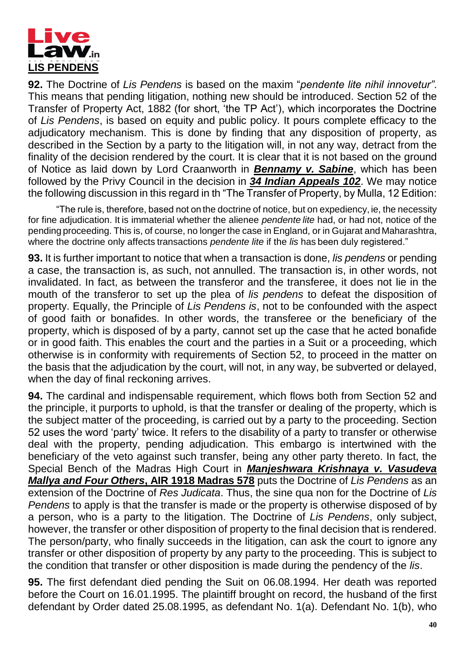

**92.** The Doctrine of *Lis Pendens* is based on the maxim "*pendente lite nihil innovetur"*. This means that pending litigation, nothing new should be introduced. Section 52 of the Transfer of Property Act, 1882 (for short, 'the TP Act'), which incorporates the Doctrine of *Lis Pendens*, is based on equity and public policy. It pours complete efficacy to the adjudicatory mechanism. This is done by finding that any disposition of property, as described in the Section by a party to the litigation will, in not any way, detract from the finality of the decision rendered by the court. It is clear that it is not based on the ground of Notice as laid down by Lord Craanworth in *Bennamy v. Sabine*, which has been followed by the Privy Council in the decision in *34 Indian Appeals 102*. We may notice the following discussion in this regard in th "The Transfer of Property, by Mulla, 12 Edition:

"The rule is, therefore, based not on the doctrine of notice, but on expediency, ie, the necessity for fine adjudication. It is immaterial whether the alienee *pendente lite* had, or had not, notice of the pending proceeding. This is, of course, no longerthe case in England, or in Gujarat and Maharashtra, where the doctrine only affects transactions *pendente lite* if the *lis* has been duly registered."

**93.** It is further important to notice that when a transaction is done, *lis pendens* or pending a case, the transaction is, as such, not annulled. The transaction is, in other words, not invalidated. In fact, as between the transferor and the transferee, it does not lie in the mouth of the transferor to set up the plea of *lis pendens* to defeat the disposition of property. Equally, the Principle of *Lis Pendens is*, not to be confounded with the aspect of good faith or bonafides. In other words, the transferee or the beneficiary of the property, which is disposed of by a party, cannot set up the case that he acted bonafide or in good faith. This enables the court and the parties in a Suit or a proceeding, which otherwise is in conformity with requirements of Section 52, to proceed in the matter on the basis that the adjudication by the court, will not, in any way, be subverted or delayed, when the day of final reckoning arrives.

**94.** The cardinal and indispensable requirement, which flows both from Section 52 and the principle, it purports to uphold, is that the transfer or dealing of the property, which is the subject matter of the proceeding, is carried out by a party to the proceeding. Section 52 uses the word 'party' twice. It refers to the disability of a party to transfer or otherwise deal with the property, pending adjudication. This embargo is intertwined with the beneficiary of the veto against such transfer, being any other party thereto. In fact, the Special Bench of the Madras High Court in *Manjeshwara Krishnaya v. Vasudeva Mallya and Four Others***, AIR 1918 Madras 578** puts the Doctrine of *Lis Pendens* as an extension of the Doctrine of *Res Judicata*. Thus, the sine qua non for the Doctrine of *Lis Pendens* to apply is that the transfer is made or the property is otherwise disposed of by a person, who is a party to the litigation. The Doctrine of *Lis Pendens*, only subject, however, the transfer or other disposition of property to the final decision that is rendered. The person/party, who finally succeeds in the litigation, can ask the court to ignore any transfer or other disposition of property by any party to the proceeding. This is subject to the condition that transfer or other disposition is made during the pendency of the *lis*.

**95.** The first defendant died pending the Suit on 06.08.1994. Her death was reported before the Court on 16.01.1995. The plaintiff brought on record, the husband of the first defendant by Order dated 25.08.1995, as defendant No. 1(a). Defendant No. 1(b), who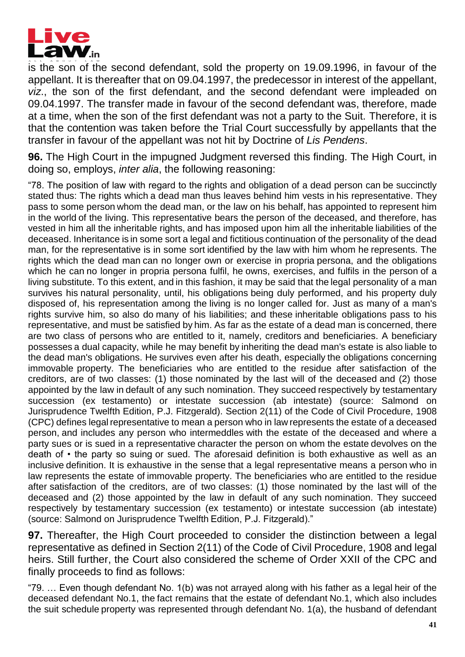

is the son of the second defendant, sold the property on 19.09.1996, in favour of the appellant. It is thereafter that on 09.04.1997, the predecessor in interest of the appellant, *viz*., the son of the first defendant, and the second defendant were impleaded on 09.04.1997. The transfer made in favour of the second defendant was, therefore, made at a time, when the son of the first defendant was not a party to the Suit. Therefore, it is that the contention was taken before the Trial Court successfully by appellants that the transfer in favour of the appellant was not hit by Doctrine of *Lis Pendens*.

**96.** The High Court in the impugned Judgment reversed this finding. The High Court, in doing so, employs, *inter alia*, the following reasoning:

"78. The position of law with regard to the rights and obligation of a dead person can be succinctly stated thus: The rights which a dead man thus leaves behind him vests in his representative. They pass to some person whom the dead man, or the law on his behalf, has appointed to represent him in the world of the living. This representative bears the person of the deceased, and therefore, has vested in him all the inheritable rights, and has imposed upon him all the inheritable liabilities of the deceased. Inheritance is in some sort a legal and fictitious continuation of the personality of the dead man, for the representative is in some sort identified by the law with him whom he represents. The rights which the dead man can no longer own or exercise in propria persona, and the obligations which he can no longer in propria persona fulfil, he owns, exercises, and fulfils in the person of a living substitute. To this extent, and in this fashion, it may be said that the legal personality of a man survives his natural personality, until, his obligations being duly performed, and his property duly disposed of, his representation among the living is no longer called for. Just as many of a man's rights survive him, so also do many of his liabilities; and these inheritable obligations pass to his representative, and must be satisfied by him. As far as the estate of a dead man is concerned, there are two class of persons who are entitled to it, namely, creditors and beneficiaries. A beneficiary possesses a dual capacity, while he may benefit by inheriting the dead man's estate is also liable to the dead man's obligations. He survives even after his death, especially the obligations concerning immovable property. The beneficiaries who are entitled to the residue after satisfaction of the creditors, are of two classes: (1) those nominated by the last will of the deceased and (2) those appointed by the law in default of any such nomination. They succeed respectively by testamentary succession (ex testamento) or intestate succession (ab intestate) (source: Salmond on Jurisprudence Twelfth Edition, P.J. Fitzgerald). Section 2(11) of the Code of Civil Procedure, 1908 (CPC) defines legal representative to mean a person who in law represents the estate of a deceased person, and includes any person who intermeddles with the estate of the deceased and where a party sues or is sued in a representative character the person on whom the estate devolves on the death of • the party so suing or sued. The aforesaid definition is both exhaustive as well as an inclusive definition. It is exhaustive in the sense that a legal representative means a person who in law represents the estate of immovable property. The beneficiaries who are entitled to the residue after satisfaction of the creditors, are of two classes: (1) those nominated by the last will of the deceased and (2) those appointed by the law in default of any such nomination. They succeed respectively by testamentary succession (ex testamento) or intestate succession (ab intestate) (source: Salmond on Jurisprudence Twelfth Edition, P.J. Fitzgerald)."

**97.** Thereafter, the High Court proceeded to consider the distinction between a legal representative as defined in Section 2(11) of the Code of Civil Procedure, 1908 and legal heirs. Still further, the Court also considered the scheme of Order XXII of the CPC and finally proceeds to find as follows:

"79. … Even though defendant No. 1(b) was not arrayed along with his father as a legal heir of the deceased defendant No.1, the fact remains that the estate of defendant No.1, which also includes the suit schedule property was represented through defendant No. 1(a), the husband of defendant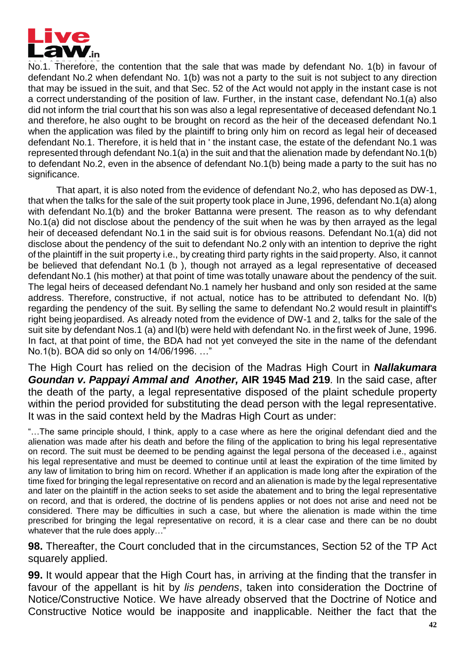

No.1. Therefore, the contention that the sale that was made by defendant No. 1(b) in favour of defendant No.2 when defendant No. 1(b) was not a party to the suit is not subject to any direction that may be issued in the suit, and that Sec. 52 of the Act would not apply in the instant case is not a correct understanding of the position of law. Further, in the instant case, defendant No.1(a) also did not inform the trial court that his son was also a legal representative of deceased defendant No.1 and therefore, he also ought to be brought on record as the heir of the deceased defendant No.1 when the application was filed by the plaintiff to bring only him on record as legal heir of deceased defendant No.1. Therefore, it is held that in ' the instant case, the estate of the defendant No.1 was represented through defendant No.1(a) in the suit and that the alienation made by defendant No.1(b) to defendant No.2, even in the absence of defendant No.1(b) being made a party to the suit has no significance.

That apart, it is also noted from the evidence of defendant No.2, who has deposed as DW-1, that when the talks for the sale of the suit property took place in June, 1996, defendant No.1(a) along with defendant No.1(b) and the broker Battanna were present. The reason as to why defendant No.1(a) did not disclose about the pendency of the suit when he was by then arrayed as the legal heir of deceased defendant No.1 in the said suit is for obvious reasons. Defendant No.1(a) did not disclose about the pendency of the suit to defendant No.2 only with an intention to deprive the right of the plaintiff in the suit property i.e., by creating third party rights in the said property. Also, it cannot be believed that defendant No.1 (b ), though not arrayed as a legal representative of deceased defendant No.1 (his mother) at that point of time was totally unaware about the pendency of the suit. The legal heirs of deceased defendant No.1 namely her husband and only son resided at the same address. Therefore, constructive, if not actual, notice has to be attributed to defendant No. l(b) regarding the pendency of the suit. By selling the same to defendant No.2 would result in plaintiff's right being jeopardised. As already noted from the evidence of DW-1 and 2, talks for the sale of the suit site by defendant Nos.1 (a) and l(b) were held with defendant No. in the first week of June, 1996. In fact, at that point of time, the BDA had not yet conveyed the site in the name of the defendant No.1(b). BOA did so only on 14/06/1996. …"

The High Court has relied on the decision of the Madras High Court in *Nallakumara Goundan v. Pappayi Ammal and**Another,* **AIR 1945 Mad 219***.* In the said case, after the death of the party, a legal representative disposed of the plaint schedule property within the period provided for substituting the dead person with the legal representative. It was in the said context held by the Madras High Court as under:

"…The same principle should, I think, apply to a case where as here the original defendant died and the alienation was made after his death and before the filing of the application to bring his legal representative on record. The suit must be deemed to be pending against the legal persona of the deceased i.e., against his legal representative and must be deemed to continue until at least the expiration of the time limited by any law of limitation to bring him on record. Whether if an application is made long after the expiration of the time fixed for bringing the legal representative on record and an alienation is made by the legal representative and later on the plaintiff in the action seeks to set aside the abatement and to bring the legal representative on record, and that is ordered, the doctrine of lis pendens applies or not does not arise and need not be considered. There may be difficulties in such a case, but where the alienation is made within the time prescribed for bringing the legal representative on record, it is a clear case and there can be no doubt whatever that the rule does apply…"

**98.** Thereafter, the Court concluded that in the circumstances, Section 52 of the TP Act squarely applied.

**99.** It would appear that the High Court has, in arriving at the finding that the transfer in favour of the appellant is hit by *lis pendens*, taken into consideration the Doctrine of Notice/Constructive Notice. We have already observed that the Doctrine of Notice and Constructive Notice would be inapposite and inapplicable. Neither the fact that the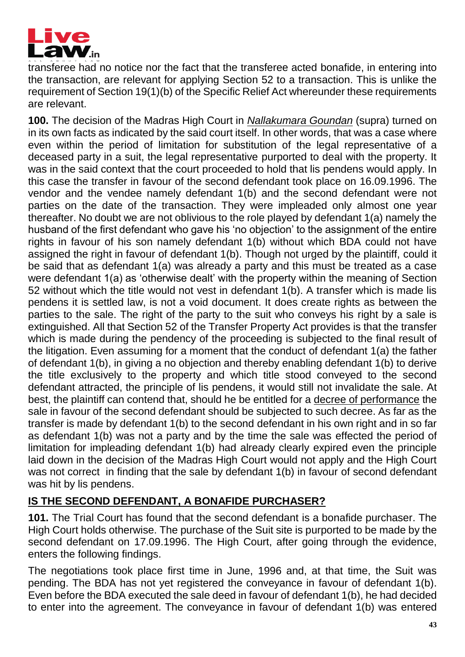

transferee had no notice nor the fact that the transferee acted bonafide, in entering into the transaction, are relevant for applying Section 52 to a transaction. This is unlike the requirement of Section 19(1)(b) of the Specific Relief Act whereunder these requirements are relevant.

**100.** The decision of the Madras High Court in *Nallakumara Goundan* (supra) turned on in its own facts as indicated by the said court itself. In other words, that was a case where even within the period of limitation for substitution of the legal representative of a deceased party in a suit, the legal representative purported to deal with the property. It was in the said context that the court proceeded to hold that lis pendens would apply. In this case the transfer in favour of the second defendant took place on 16.09.1996. The vendor and the vendee namely defendant 1(b) and the second defendant were not parties on the date of the transaction. They were impleaded only almost one year thereafter. No doubt we are not oblivious to the role played by defendant 1(a) namely the husband of the first defendant who gave his 'no objection' to the assignment of the entire rights in favour of his son namely defendant 1(b) without which BDA could not have assigned the right in favour of defendant 1(b). Though not urged by the plaintiff, could it be said that as defendant 1(a) was already a party and this must be treated as a case were defendant 1(a) as 'otherwise dealt' with the property within the meaning of Section 52 without which the title would not vest in defendant 1(b). A transfer which is made lis pendens it is settled law, is not a void document. It does create rights as between the parties to the sale. The right of the party to the suit who conveys his right by a sale is extinguished. All that Section 52 of the Transfer Property Act provides is that the transfer which is made during the pendency of the proceeding is subjected to the final result of the litigation. Even assuming for a moment that the conduct of defendant 1(a) the father of defendant 1(b), in giving a no objection and thereby enabling defendant 1(b) to derive the title exclusively to the property and which title stood conveyed to the second defendant attracted, the principle of lis pendens, it would still not invalidate the sale. At best, the plaintiff can contend that, should he be entitled for a decree of performance the sale in favour of the second defendant should be subjected to such decree. As far as the transfer is made by defendant 1(b) to the second defendant in his own right and in so far as defendant 1(b) was not a party and by the time the sale was effected the period of limitation for impleading defendant 1(b) had already clearly expired even the principle laid down in the decision of the Madras High Court would not apply and the High Court was not correct in finding that the sale by defendant 1(b) in favour of second defendant was hit by lis pendens.

# **IS THE SECOND DEFENDANT, A BONAFIDE PURCHASER?**

**101.** The Trial Court has found that the second defendant is a bonafide purchaser. The High Court holds otherwise. The purchase of the Suit site is purported to be made by the second defendant on 17.09.1996. The High Court, after going through the evidence, enters the following findings.

The negotiations took place first time in June, 1996 and, at that time, the Suit was pending. The BDA has not yet registered the conveyance in favour of defendant 1(b). Even before the BDA executed the sale deed in favour of defendant 1(b), he had decided to enter into the agreement. The conveyance in favour of defendant 1(b) was entered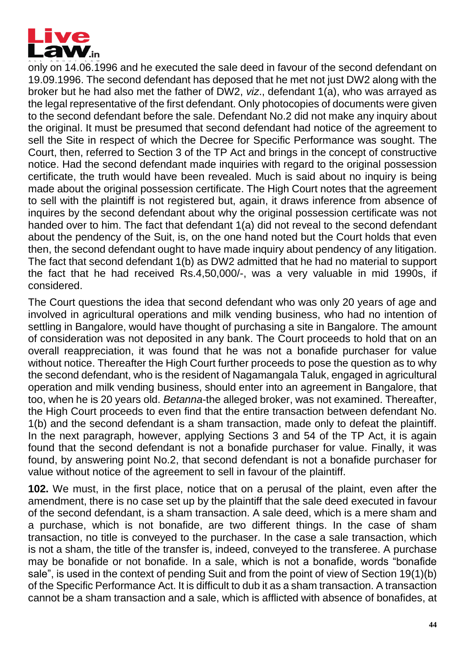

only on 14.06.1996 and he executed the sale deed in favour of the second defendant on 19.09.1996. The second defendant has deposed that he met not just DW2 along with the broker but he had also met the father of DW2, *viz*., defendant 1(a), who was arrayed as the legal representative of the first defendant. Only photocopies of documents were given to the second defendant before the sale. Defendant No.2 did not make any inquiry about the original. It must be presumed that second defendant had notice of the agreement to sell the Site in respect of which the Decree for Specific Performance was sought. The Court, then, referred to Section 3 of the TP Act and brings in the concept of constructive notice. Had the second defendant made inquiries with regard to the original possession certificate, the truth would have been revealed. Much is said about no inquiry is being made about the original possession certificate. The High Court notes that the agreement to sell with the plaintiff is not registered but, again, it draws inference from absence of inquires by the second defendant about why the original possession certificate was not handed over to him. The fact that defendant 1(a) did not reveal to the second defendant about the pendency of the Suit, is, on the one hand noted but the Court holds that even then, the second defendant ought to have made inquiry about pendency of any litigation. The fact that second defendant 1(b) as DW2 admitted that he had no material to support the fact that he had received  $Rs.4,50,000/$ -, was a very valuable in mid 1990s, if considered.

The Court questions the idea that second defendant who was only 20 years of age and involved in agricultural operations and milk vending business, who had no intention of settling in Bangalore, would have thought of purchasing a site in Bangalore. The amount of consideration was not deposited in any bank. The Court proceeds to hold that on an overall reappreciation, it was found that he was not a bonafide purchaser for value without notice. Thereafter the High Court further proceeds to pose the question as to why the second defendant, who is the resident of Nagamangala Taluk, engaged in agricultural operation and milk vending business, should enter into an agreement in Bangalore, that too, when he is 20 years old. *Betanna*-the alleged broker, was not examined. Thereafter, the High Court proceeds to even find that the entire transaction between defendant No. 1(b) and the second defendant is a sham transaction, made only to defeat the plaintiff. In the next paragraph, however, applying Sections 3 and 54 of the TP Act, it is again found that the second defendant is not a bonafide purchaser for value. Finally, it was found, by answering point No.2, that second defendant is not a bonafide purchaser for value without notice of the agreement to sell in favour of the plaintiff.

**102.** We must, in the first place, notice that on a perusal of the plaint, even after the amendment, there is no case set up by the plaintiff that the sale deed executed in favour of the second defendant, is a sham transaction. A sale deed, which is a mere sham and a purchase, which is not bonafide, are two different things. In the case of sham transaction, no title is conveyed to the purchaser. In the case a sale transaction, which is not a sham, the title of the transfer is, indeed, conveyed to the transferee. A purchase may be bonafide or not bonafide. In a sale, which is not a bonafide, words "bonafide sale", is used in the context of pending Suit and from the point of view of Section 19(1)(b) of the Specific Performance Act. It is difficult to dub it as a sham transaction. A transaction cannot be a sham transaction and a sale, which is afflicted with absence of bonafides, at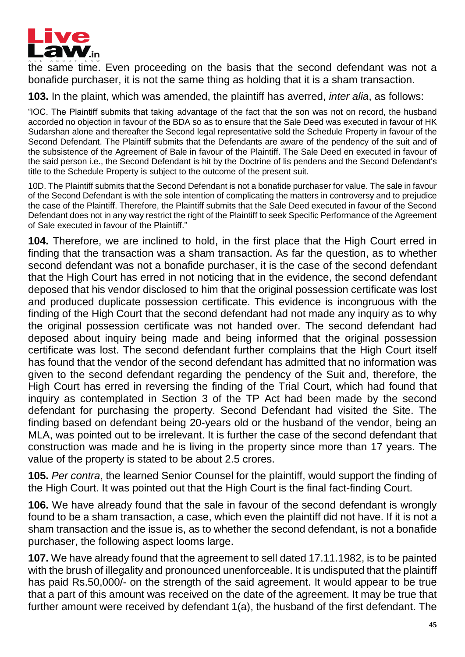

the same time. Even proceeding on the basis that the second defendant was not a bonafide purchaser, it is not the same thing as holding that it is a sham transaction.

**103.** In the plaint, which was amended, the plaintiff has averred, *inter alia*, as follows:

"lOC. The Plaintiff submits that taking advantage of the fact that the son was not on record, the husband accorded no objection in favour of the BDA so as to ensure that the Sale Deed was executed in favour of HK Sudarshan alone and thereafter the Second legal representative sold the Schedule Property in favour of the Second Defendant. The Plaintiff submits that the Defendants are aware of the pendency of the suit and of the subsistence of the Agreement of Bale in favour of the Plaintiff. The Sale Deed en executed in favour of the said person i.e., the Second Defendant is hit by the Doctrine of lis pendens and the Second Defendant's title to the Schedule Property is subject to the outcome of the present suit.

10D. The Plaintiff submits that the Second Defendant is not a bonafide purchaser for value. The sale in favour of the Second Defendant is with the sole intention of complicating the matters in controversy and to prejudice the case of the Plaintiff. Therefore, the Plaintiff submits that the Sale Deed executed in favour of the Second Defendant does not in any way restrict the right of the Plaintiff to seek Specific Performance of the Agreement of Sale executed in favour of the Plaintiff."

**104.** Therefore, we are inclined to hold, in the first place that the High Court erred in finding that the transaction was a sham transaction. As far the question, as to whether second defendant was not a bonafide purchaser, it is the case of the second defendant that the High Court has erred in not noticing that in the evidence, the second defendant deposed that his vendor disclosed to him that the original possession certificate was lost and produced duplicate possession certificate. This evidence is incongruous with the finding of the High Court that the second defendant had not made any inquiry as to why the original possession certificate was not handed over. The second defendant had deposed about inquiry being made and being informed that the original possession certificate was lost. The second defendant further complains that the High Court itself has found that the vendor of the second defendant has admitted that no information was given to the second defendant regarding the pendency of the Suit and, therefore, the High Court has erred in reversing the finding of the Trial Court, which had found that inquiry as contemplated in Section 3 of the TP Act had been made by the second defendant for purchasing the property. Second Defendant had visited the Site. The finding based on defendant being 20-years old or the husband of the vendor, being an MLA, was pointed out to be irrelevant. It is further the case of the second defendant that construction was made and he is living in the property since more than 17 years. The value of the property is stated to be about 2.5 crores.

**105.** *Per contra*, the learned Senior Counsel for the plaintiff, would support the finding of the High Court. It was pointed out that the High Court is the final fact-finding Court.

**106.** We have already found that the sale in favour of the second defendant is wrongly found to be a sham transaction, a case, which even the plaintiff did not have. If it is not a sham transaction and the issue is, as to whether the second defendant, is not a bonafide purchaser, the following aspect looms large.

**107.** We have already found that the agreement to sell dated 17.11.1982, is to be painted with the brush of illegality and pronounced unenforceable. It is undisputed that the plaintiff has paid Rs.50,000/- on the strength of the said agreement. It would appear to be true that a part of this amount was received on the date of the agreement. It may be true that further amount were received by defendant 1(a), the husband of the first defendant. The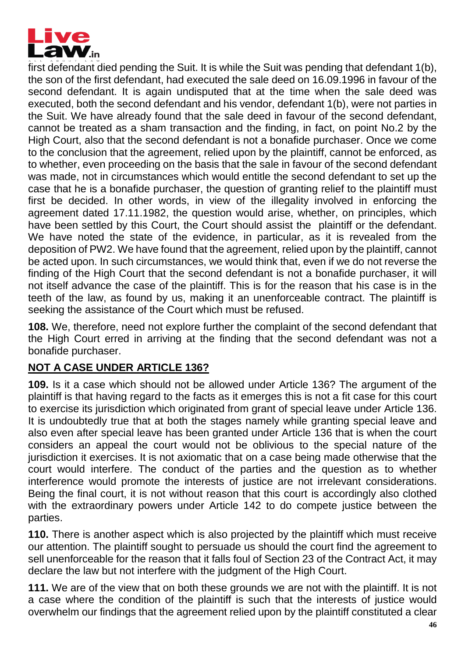

first defendant died pending the Suit. It is while the Suit was pending that defendant 1(b), the son of the first defendant, had executed the sale deed on 16.09.1996 in favour of the second defendant. It is again undisputed that at the time when the sale deed was executed, both the second defendant and his vendor, defendant 1(b), were not parties in the Suit. We have already found that the sale deed in favour of the second defendant, cannot be treated as a sham transaction and the finding, in fact, on point No.2 by the High Court, also that the second defendant is not a bonafide purchaser. Once we come to the conclusion that the agreement, relied upon by the plaintiff, cannot be enforced, as to whether, even proceeding on the basis that the sale in favour of the second defendant was made, not in circumstances which would entitle the second defendant to set up the case that he is a bonafide purchaser, the question of granting relief to the plaintiff must first be decided. In other words, in view of the illegality involved in enforcing the agreement dated 17.11.1982, the question would arise, whether, on principles, which have been settled by this Court, the Court should assist the plaintiff or the defendant. We have noted the state of the evidence, in particular, as it is revealed from the deposition of PW2. We have found that the agreement, relied upon by the plaintiff, cannot be acted upon. In such circumstances, we would think that, even if we do not reverse the finding of the High Court that the second defendant is not a bonafide purchaser, it will not itself advance the case of the plaintiff. This is for the reason that his case is in the teeth of the law, as found by us, making it an unenforceable contract. The plaintiff is seeking the assistance of the Court which must be refused.

**108.** We, therefore, need not explore further the complaint of the second defendant that the High Court erred in arriving at the finding that the second defendant was not a bonafide purchaser.

# **NOT A CASE UNDER ARTICLE 136?**

**109.** Is it a case which should not be allowed under Article 136? The argument of the plaintiff is that having regard to the facts as it emerges this is not a fit case for this court to exercise its jurisdiction which originated from grant of special leave under Article 136. It is undoubtedly true that at both the stages namely while granting special leave and also even after special leave has been granted under Article 136 that is when the court considers an appeal the court would not be oblivious to the special nature of the jurisdiction it exercises. It is not axiomatic that on a case being made otherwise that the court would interfere. The conduct of the parties and the question as to whether interference would promote the interests of justice are not irrelevant considerations. Being the final court, it is not without reason that this court is accordingly also clothed with the extraordinary powers under Article 142 to do compete justice between the parties.

**110.** There is another aspect which is also projected by the plaintiff which must receive our attention. The plaintiff sought to persuade us should the court find the agreement to sell unenforceable for the reason that it falls foul of Section 23 of the Contract Act, it may declare the law but not interfere with the judgment of the High Court.

**111.** We are of the view that on both these grounds we are not with the plaintiff. It is not a case where the condition of the plaintiff is such that the interests of justice would overwhelm our findings that the agreement relied upon by the plaintiff constituted a clear